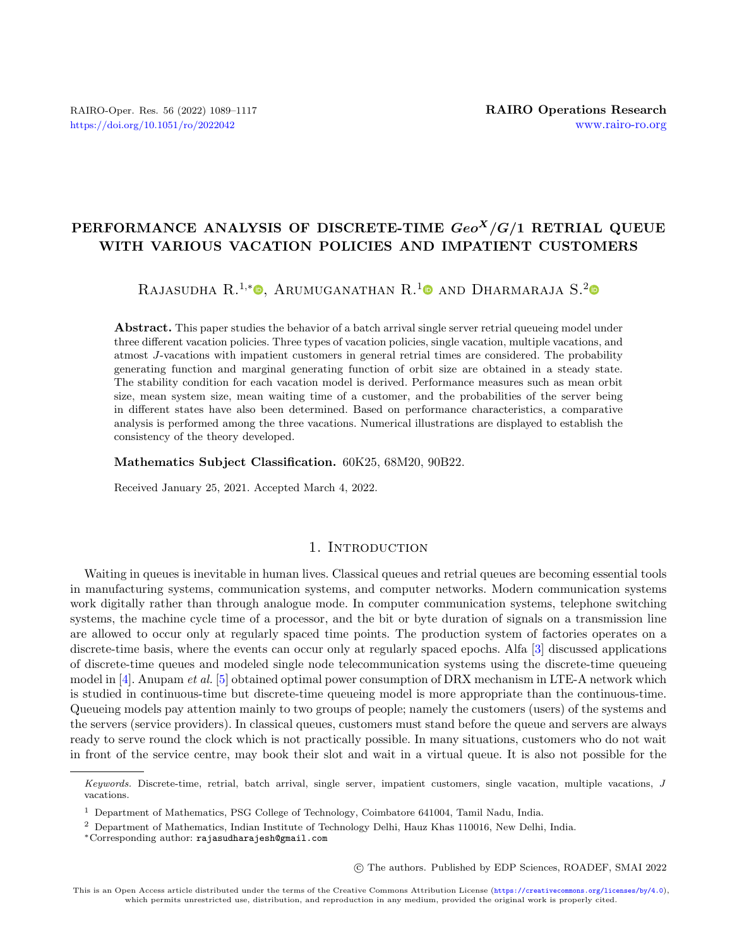# PERFORMANCE ANALYSIS OF DISCRETE-TIME  $Geo<sup>X</sup>/G/1$  RETRIAL QUEUE WITH VARIOUS VACATION POLICIES AND IMPATIENT CUSTOMERS

# RAJASUDHA R.<sup>1[,](https://orcid.org/0000-0002-7868-8090)\*</sup><sup>0</sup>, Arumuganathan R.<sup>[1](https://orcid.org/0000-0002-4877-2400)</sup><sup>0</sup> and Dharmaraja S.<sup>[2](https://orcid.org/0000-0003-2892-0864)</sup>

Abstract. This paper studies the behavior of a batch arrival single server retrial queueing model under three different vacation policies. Three types of vacation policies, single vacation, multiple vacations, and atmost J-vacations with impatient customers in general retrial times are considered. The probability generating function and marginal generating function of orbit size are obtained in a steady state. The stability condition for each vacation model is derived. Performance measures such as mean orbit size, mean system size, mean waiting time of a customer, and the probabilities of the server being in different states have also been determined. Based on performance characteristics, a comparative analysis is performed among the three vacations. Numerical illustrations are displayed to establish the consistency of the theory developed.

#### Mathematics Subject Classification. 60K25, 68M20, 90B22.

Received January 25, 2021. Accepted March 4, 2022.

# 1. INTRODUCTION

Waiting in queues is inevitable in human lives. Classical queues and retrial queues are becoming essential tools in manufacturing systems, communication systems, and computer networks. Modern communication systems work digitally rather than through analogue mode. In computer communication systems, telephone switching systems, the machine cycle time of a processor, and the bit or byte duration of signals on a transmission line are allowed to occur only at regularly spaced time points. The production system of factories operates on a discrete-time basis, where the events can occur only at regularly spaced epochs. Alfa [\[3\]](#page-27-0) discussed applications of discrete-time queues and modeled single node telecommunication systems using the discrete-time queueing model in  $[4]$ . Anupam et al. [\[5\]](#page-27-2) obtained optimal power consumption of DRX mechanism in LTE-A network which is studied in continuous-time but discrete-time queueing model is more appropriate than the continuous-time. Queueing models pay attention mainly to two groups of people; namely the customers (users) of the systems and the servers (service providers). In classical queues, customers must stand before the queue and servers are always ready to serve round the clock which is not practically possible. In many situations, customers who do not wait in front of the service centre, may book their slot and wait in a virtual queue. It is also not possible for the

○c The authors. Published by EDP Sciences, ROADEF, SMAI 2022

Keywords. Discrete-time, retrial, batch arrival, single server, impatient customers, single vacation, multiple vacations, J vacations.

<sup>1</sup> Department of Mathematics, PSG College of Technology, Coimbatore 641004, Tamil Nadu, India.

<sup>2</sup> Department of Mathematics, Indian Institute of Technology Delhi, Hauz Khas 110016, New Delhi, India.

<sup>\*</sup>Corresponding author: [rajasudharajesh@gmail.com](mailto:rajasudharajesh@gmail.com)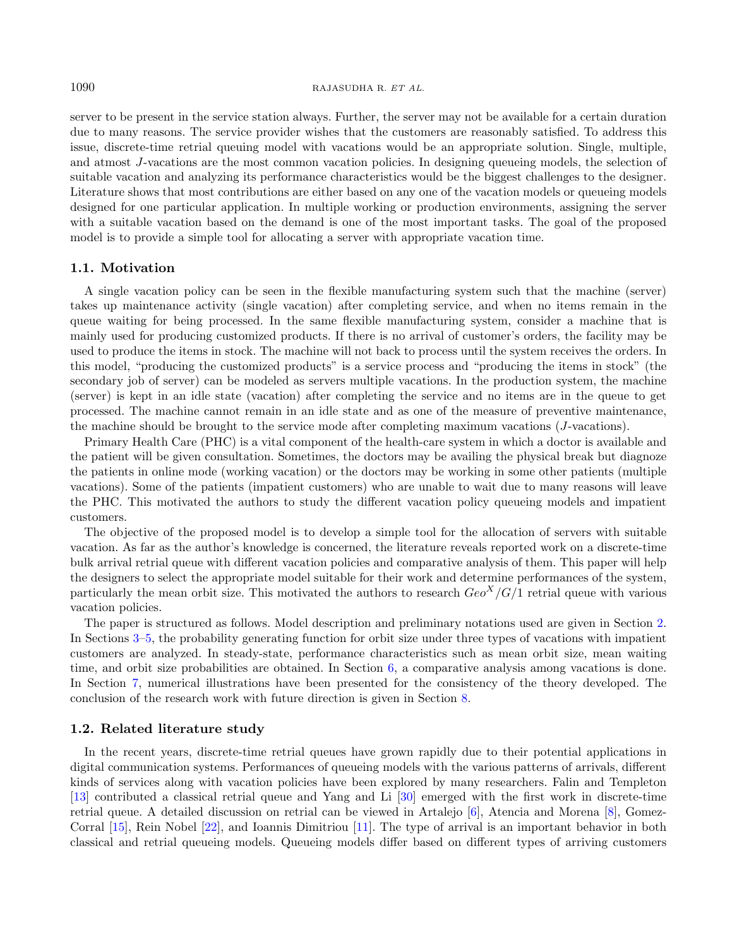#### 1090 RAJASUDHA R. ET AL.

server to be present in the service station always. Further, the server may not be available for a certain duration due to many reasons. The service provider wishes that the customers are reasonably satisfied. To address this issue, discrete-time retrial queuing model with vacations would be an appropriate solution. Single, multiple, and atmost J-vacations are the most common vacation policies. In designing queueing models, the selection of suitable vacation and analyzing its performance characteristics would be the biggest challenges to the designer. Literature shows that most contributions are either based on any one of the vacation models or queueing models designed for one particular application. In multiple working or production environments, assigning the server with a suitable vacation based on the demand is one of the most important tasks. The goal of the proposed model is to provide a simple tool for allocating a server with appropriate vacation time.

#### 1.1. Motivation

A single vacation policy can be seen in the flexible manufacturing system such that the machine (server) takes up maintenance activity (single vacation) after completing service, and when no items remain in the queue waiting for being processed. In the same flexible manufacturing system, consider a machine that is mainly used for producing customized products. If there is no arrival of customer's orders, the facility may be used to produce the items in stock. The machine will not back to process until the system receives the orders. In this model, "producing the customized products" is a service process and "producing the items in stock" (the secondary job of server) can be modeled as servers multiple vacations. In the production system, the machine (server) is kept in an idle state (vacation) after completing the service and no items are in the queue to get processed. The machine cannot remain in an idle state and as one of the measure of preventive maintenance, the machine should be brought to the service mode after completing maximum vacations  $(J$ -vacations).

Primary Health Care (PHC) is a vital component of the health-care system in which a doctor is available and the patient will be given consultation. Sometimes, the doctors may be availing the physical break but diagnoze the patients in online mode (working vacation) or the doctors may be working in some other patients (multiple vacations). Some of the patients (impatient customers) who are unable to wait due to many reasons will leave the PHC. This motivated the authors to study the different vacation policy queueing models and impatient customers.

The objective of the proposed model is to develop a simple tool for the allocation of servers with suitable vacation. As far as the author's knowledge is concerned, the literature reveals reported work on a discrete-time bulk arrival retrial queue with different vacation policies and comparative analysis of them. This paper will help the designers to select the appropriate model suitable for their work and determine performances of the system, particularly the mean orbit size. This motivated the authors to research  $Geo<sup>X</sup>/G/1$  retrial queue with various vacation policies.

The paper is structured as follows. Model description and preliminary notations used are given in Section [2.](#page-2-0) In Sections [3](#page-4-0)[–5,](#page-16-0) the probability generating function for orbit size under three types of vacations with impatient customers are analyzed. In steady-state, performance characteristics such as mean orbit size, mean waiting time, and orbit size probabilities are obtained. In Section [6,](#page-22-0) a comparative analysis among vacations is done. In Section [7,](#page-24-0) numerical illustrations have been presented for the consistency of the theory developed. The conclusion of the research work with future direction is given in Section [8.](#page-26-0)

#### 1.2. Related literature study

In the recent years, discrete-time retrial queues have grown rapidly due to their potential applications in digital communication systems. Performances of queueing models with the various patterns of arrivals, different kinds of services along with vacation policies have been explored by many researchers. Falin and Templeton [\[13\]](#page-27-3) contributed a classical retrial queue and Yang and Li [\[30\]](#page-27-4) emerged with the first work in discrete-time retrial queue. A detailed discussion on retrial can be viewed in Artalejo [\[6\]](#page-27-5), Atencia and Morena [\[8\]](#page-27-6), Gomez-Corral [\[15\]](#page-27-7), Rein Nobel [\[22\]](#page-27-8), and Ioannis Dimitriou [\[11\]](#page-27-9). The type of arrival is an important behavior in both classical and retrial queueing models. Queueing models differ based on different types of arriving customers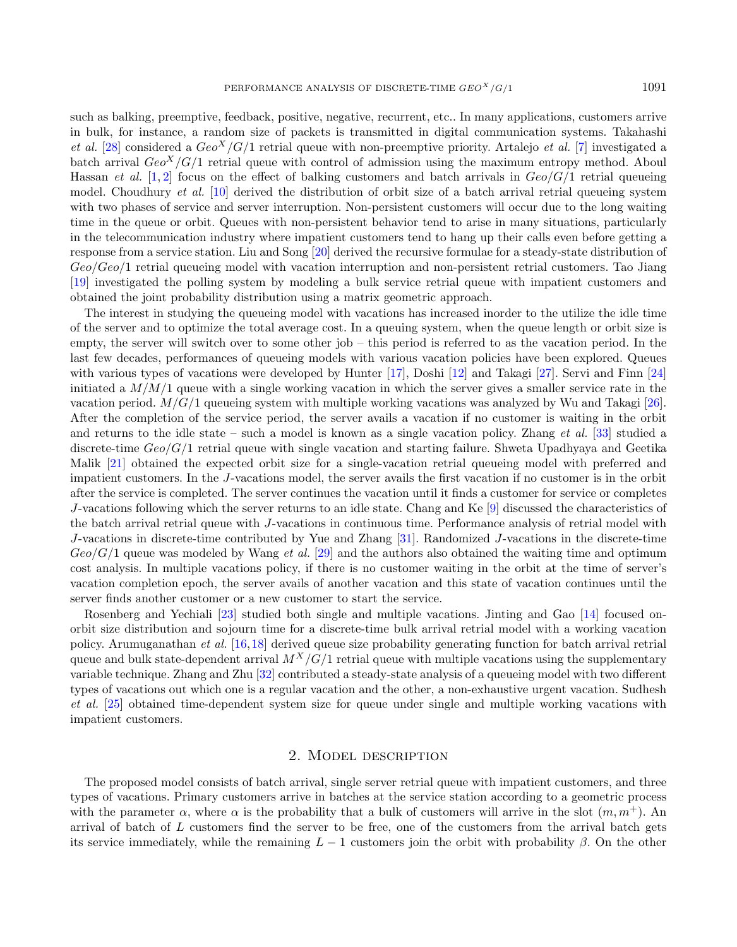such as balking, preemptive, feedback, positive, negative, recurrent, etc.. In many applications, customers arrive in bulk, for instance, a random size of packets is transmitted in digital communication systems. Takahashi et al. [\[28\]](#page-27-10) considered a  $Geo<sup>X</sup>/G/1$  retrial queue with non-preemptive priority. Artalejo *et al.* [\[7\]](#page-27-11) investigated a batch arrival  $Geo<sup>X</sup>/G/1$  retrial queue with control of admission using the maximum entropy method. Aboul Hassan *et al.* [\[1,](#page-27-12) [2\]](#page-27-13) focus on the effect of balking customers and batch arrivals in  $Geo/G/1$  retrial queueing model. Choudhury *et al.* [\[10\]](#page-27-14) derived the distribution of orbit size of a batch arrival retrial queueing system with two phases of service and server interruption. Non-persistent customers will occur due to the long waiting time in the queue or orbit. Queues with non-persistent behavior tend to arise in many situations, particularly in the telecommunication industry where impatient customers tend to hang up their calls even before getting a response from a service station. Liu and Song [\[20\]](#page-27-15) derived the recursive formulae for a steady-state distribution of  $Geo/Geo/1$  retrial queueing model with vacation interruption and non-persistent retrial customers. Tao Jiang [\[19\]](#page-27-16) investigated the polling system by modeling a bulk service retrial queue with impatient customers and obtained the joint probability distribution using a matrix geometric approach.

The interest in studying the queueing model with vacations has increased inorder to the utilize the idle time of the server and to optimize the total average cost. In a queuing system, when the queue length or orbit size is empty, the server will switch over to some other job – this period is referred to as the vacation period. In the last few decades, performances of queueing models with various vacation policies have been explored. Queues with various types of vacations were developed by Hunter [\[17\]](#page-27-17), Doshi [\[12\]](#page-27-18) and Takagi [\[27\]](#page-27-19). Servi and Finn [\[24\]](#page-27-20) initiated a  $M/M/1$  queue with a single working vacation in which the server gives a smaller service rate in the vacation period.  $M/G/1$  queueing system with multiple working vacations was analyzed by Wu and Takagi [\[26\]](#page-27-21). After the completion of the service period, the server avails a vacation if no customer is waiting in the orbit and returns to the idle state – such a model is known as a single vacation policy. Zhang *et al.* [\[33\]](#page-28-0) studied a discrete-time  $Geo/G/1$  retrial queue with single vacation and starting failure. Shweta Upadhyaya and Geetika Malik [\[21\]](#page-27-22) obtained the expected orbit size for a single-vacation retrial queueing model with preferred and impatient customers. In the J-vacations model, the server avails the first vacation if no customer is in the orbit after the service is completed. The server continues the vacation until it finds a customer for service or completes  $J$ -vacations following which the server returns to an idle state. Chang and Ke  $[9]$  discussed the characteristics of the batch arrival retrial queue with J-vacations in continuous time. Performance analysis of retrial model with  $J$ -vacations in discrete-time contributed by Yue and Zhang [\[31\]](#page-27-24). Randomized  $J$ -vacations in the discrete-time  $Geo/G/1$  queue was modeled by Wang *et al.* [\[29\]](#page-27-25) and the authors also obtained the waiting time and optimum cost analysis. In multiple vacations policy, if there is no customer waiting in the orbit at the time of server's vacation completion epoch, the server avails of another vacation and this state of vacation continues until the server finds another customer or a new customer to start the service.

Rosenberg and Yechiali [\[23\]](#page-27-26) studied both single and multiple vacations. Jinting and Gao [\[14\]](#page-27-27) focused onorbit size distribution and sojourn time for a discrete-time bulk arrival retrial model with a working vacation policy. Arumuganathan et al. [\[16,](#page-27-28)[18\]](#page-27-29) derived queue size probability generating function for batch arrival retrial queue and bulk state-dependent arrival  $M^X/G/1$  retrial queue with multiple vacations using the supplementary variable technique. Zhang and Zhu [\[32\]](#page-28-1) contributed a steady-state analysis of a queueing model with two different types of vacations out which one is a regular vacation and the other, a non-exhaustive urgent vacation. Sudhesh et al. [\[25\]](#page-27-30) obtained time-dependent system size for queue under single and multiple working vacations with impatient customers.

## 2. Model description

<span id="page-2-0"></span>The proposed model consists of batch arrival, single server retrial queue with impatient customers, and three types of vacations. Primary customers arrive in batches at the service station according to a geometric process with the parameter  $\alpha$ , where  $\alpha$  is the probability that a bulk of customers will arrive in the slot  $(m, m<sup>+</sup>)$ . An arrival of batch of  $L$  customers find the server to be free, one of the customers from the arrival batch gets its service immediately, while the remaining  $L-1$  customers join the orbit with probability  $\beta$ . On the other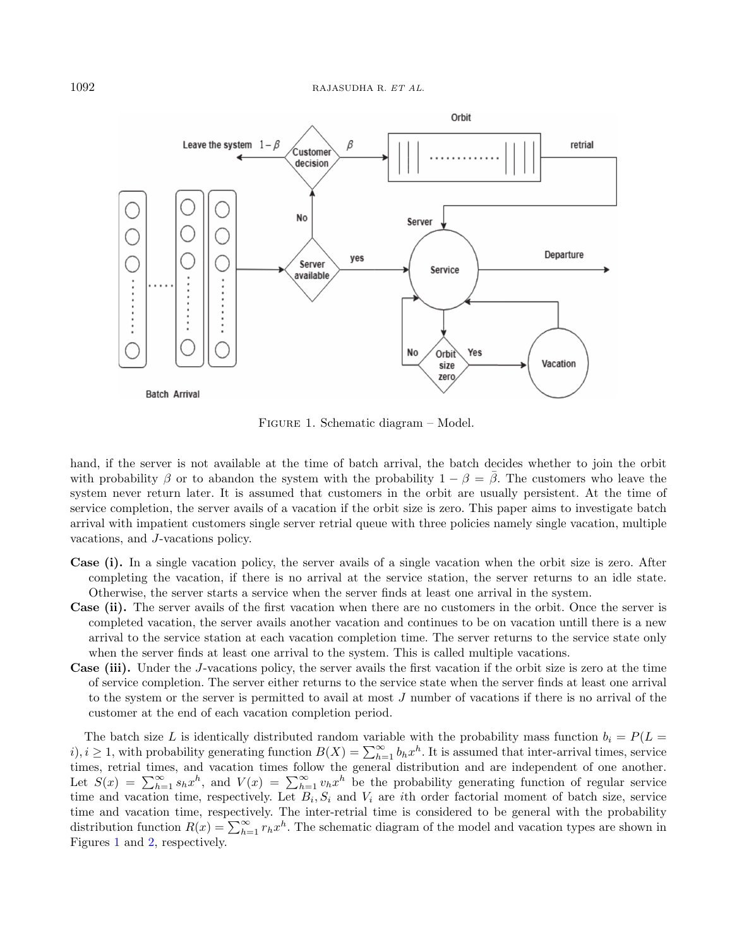

Figure 1. Schematic diagram – Model.

<span id="page-3-0"></span>hand, if the server is not available at the time of batch arrival, the batch decides whether to join the orbit with probability  $\beta$  or to abandon the system with the probability  $1 - \beta = \overline{\beta}$ . The customers who leave the system never return later. It is assumed that customers in the orbit are usually persistent. At the time of service completion, the server avails of a vacation if the orbit size is zero. This paper aims to investigate batch arrival with impatient customers single server retrial queue with three policies namely single vacation, multiple vacations, and  $J$ -vacations policy.

- Case (i). In a single vacation policy, the server avails of a single vacation when the orbit size is zero. After completing the vacation, if there is no arrival at the service station, the server returns to an idle state. Otherwise, the server starts a service when the server finds at least one arrival in the system.
- Case (ii). The server avails of the first vacation when there are no customers in the orbit. Once the server is completed vacation, the server avails another vacation and continues to be on vacation untill there is a new arrival to the service station at each vacation completion time. The server returns to the service state only when the server finds at least one arrival to the system. This is called multiple vacations.
- **Case (iii).** Under the J-vacations policy, the server avails the first vacation if the orbit size is zero at the time of service completion. The server either returns to the service state when the server finds at least one arrival to the system or the server is permitted to avail at most  $J$  number of vacations if there is no arrival of the customer at the end of each vacation completion period.

The batch size L is identically distributed random variable with the probability mass function  $b_i = P(L =$  $(i)$ ,  $i \geq 1$ , with probability generating function  $B(X) = \sum_{h=1}^{\infty} b_h x^h$ . It is assumed that inter-arrival times, service times, retrial times, and vacation times follow the general distribution and are independent of one another. Let  $S(x) = \sum_{h=1}^{\infty} s_h x^h$ , and  $V(x) = \sum_{h=1}^{\infty} v_h x^h$  be the probability generating function of regular service time and vacation time, respectively. Let  $B_i, S_i$  and  $V_i$  are *i*th order factorial moment of batch size, service time and vacation time, respectively. The inter-retrial time is considered to be general with the probability distribution function  $R(x) = \sum_{h=1}^{\infty} r_h x^h$ . The schematic diagram of the model and vacation types are shown in Figures [1](#page-3-0) and [2,](#page-4-1) respectively.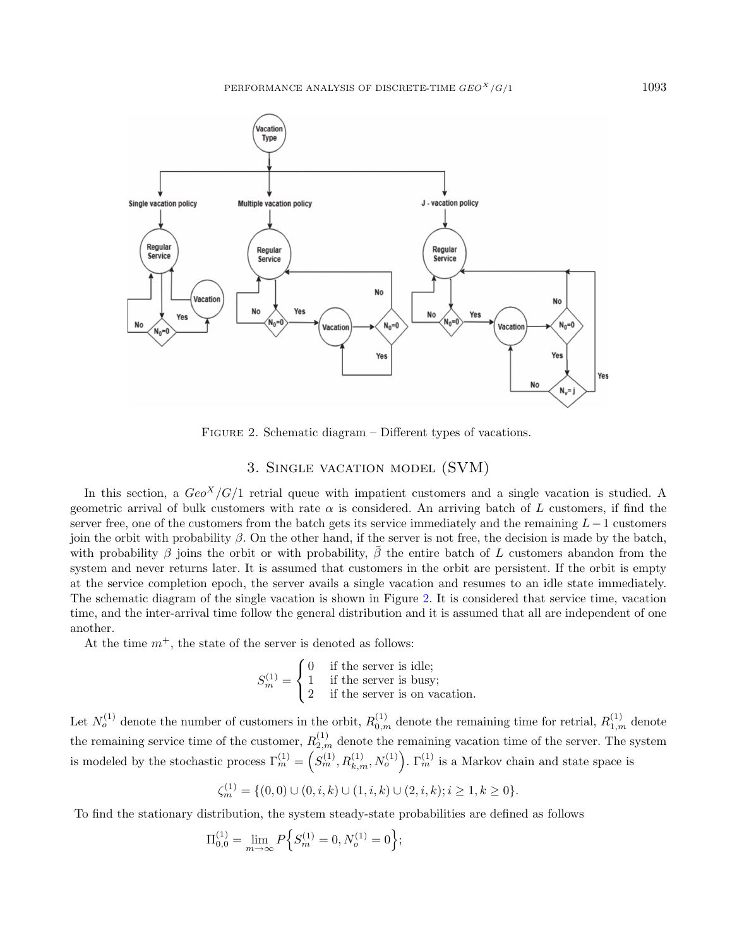

FIGURE 2. Schematic diagram – Different types of vacations.

# 3. Single vacation model (SVM)

<span id="page-4-1"></span><span id="page-4-0"></span>In this section, a  $Geo<sup>X</sup>/G/1$  retrial queue with impatient customers and a single vacation is studied. A geometric arrival of bulk customers with rate  $\alpha$  is considered. An arriving batch of L customers, if find the server free, one of the customers from the batch gets its service immediately and the remaining  $L-1$  customers join the orbit with probability  $\beta$ . On the other hand, if the server is not free, the decision is made by the batch, with probability  $\beta$  joins the orbit or with probability,  $\beta$  the entire batch of L customers abandon from the system and never returns later. It is assumed that customers in the orbit are persistent. If the orbit is empty at the service completion epoch, the server avails a single vacation and resumes to an idle state immediately. The schematic diagram of the single vacation is shown in Figure [2.](#page-4-1) It is considered that service time, vacation time, and the inter-arrival time follow the general distribution and it is assumed that all are independent of one another.

At the time  $m^+$ , the state of the server is denoted as follows:

$$
S_m^{(1)} = \begin{cases} 0 & \text{if the server is idle;} \\ 1 & \text{if the server is busy;} \\ 2 & \text{if the server is on vacation.} \end{cases}
$$

Let  $N_o^{(1)}$  denote the number of customers in the orbit,  $R_{0,m}^{(1)}$  denote the remaining time for retrial,  $R_{1,m}^{(1)}$  denote the remaining service time of the customer,  $R_{2,m}^{(1)}$  denote the remaining vacation time of the server. The system is modeled by the stochastic process  $\Gamma_m^{(1)} = \left( S_m^{(1)}, R_{k,m}^{(1)}, N_o^{(1)} \right)$ .  $\Gamma_m^{(1)}$  is a Markov chain and state space is

$$
\zeta_m^{(1)} = \{ (0,0) \cup (0,i,k) \cup (1,i,k) \cup (2,i,k); i \ge 1, k \ge 0 \}.
$$

To find the stationary distribution, the system steady-state probabilities are defined as follows

$$
\Pi_{0,0}^{(1)} = \lim_{m \to \infty} P\Big\{S_m^{(1)} = 0, N_o^{(1)} = 0\Big\};
$$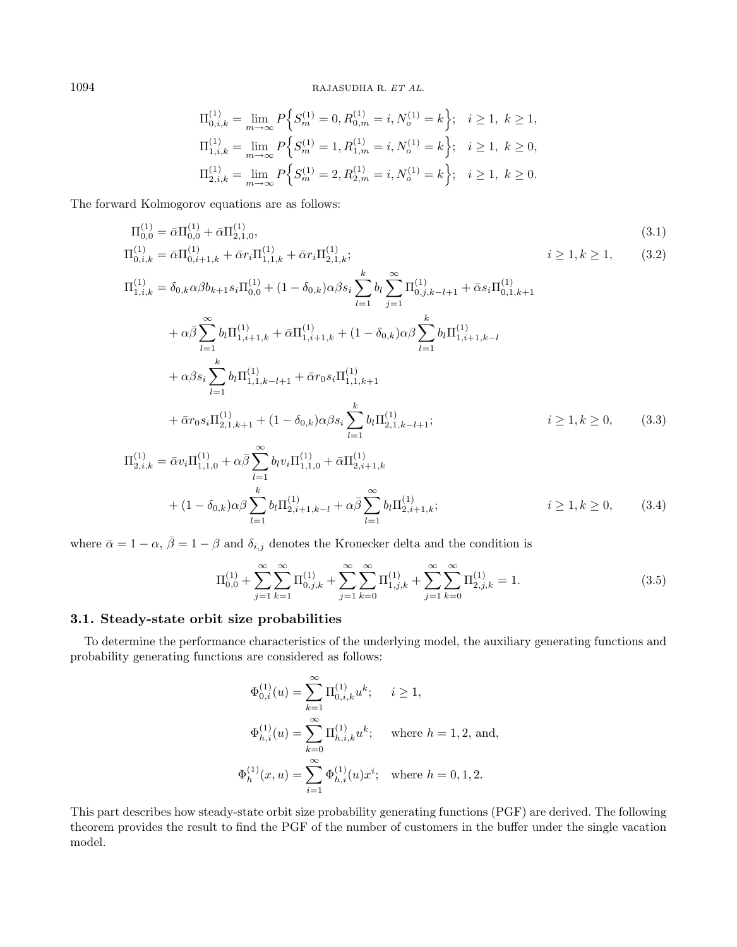<span id="page-5-2"></span><span id="page-5-1"></span>
$$
\Pi_{0,i,k}^{(1)} = \lim_{m \to \infty} P\Big\{ S_m^{(1)} = 0, R_{0,m}^{(1)} = i, N_o^{(1)} = k \Big\}; \quad i \ge 1, \ k \ge 1,
$$
  
\n
$$
\Pi_{1,i,k}^{(1)} = \lim_{m \to \infty} P\Big\{ S_m^{(1)} = 1, R_{1,m}^{(1)} = i, N_o^{(1)} = k \Big\}; \quad i \ge 1, \ k \ge 0,
$$
  
\n
$$
\Pi_{2,i,k}^{(1)} = \lim_{m \to \infty} P\Big\{ S_m^{(1)} = 2, R_{2,m}^{(1)} = i, N_o^{(1)} = k \Big\}; \quad i \ge 1, \ k \ge 0.
$$

The forward Kolmogorov equations are as follows:

$$
\Pi_{0,0}^{(1)} = \bar{\alpha} \Pi_{0,0}^{(1)} + \bar{\alpha} \Pi_{2,1,0}^{(1)},
$$
\n
$$
\Pi_{0,i,k}^{(1)} = \bar{\alpha} \Pi_{0,i+1,k}^{(1)} + \bar{\alpha} r_{i} \Pi_{1,1,k}^{(1)} + \bar{\alpha} r_{i} \Pi_{2,1,k}^{(1)};
$$
\n
$$
i \geq 1, k \geq 1,
$$
\n
$$
\Pi_{1,i,k}^{(1)} = \delta_{0,k} \alpha \beta b_{k+1} s_{i} \Pi_{0,0}^{(1)} + (1 - \delta_{0,k}) \alpha \beta s_{i} \sum_{l=1}^{k} b_{l} \sum_{j=1}^{\infty} \Pi_{0,j,k-l+1}^{(1)} + \bar{\alpha} s_{i} \Pi_{0,1,k+1}^{(1)}
$$
\n
$$
+ \alpha \bar{\beta} \sum_{l=1}^{\infty} b_{l} \Pi_{1,i+1,k}^{(1)} + \bar{\alpha} \Pi_{1,i+1,k}^{(1)} + (1 - \delta_{0,k}) \alpha \beta \sum_{l=1}^{k} b_{l} \Pi_{1,i+1,k-l}^{(1)}
$$
\n
$$
+ \alpha \beta s_{i} \sum_{l=1}^{k} b_{l} \Pi_{1,1,k-l+1}^{(1)} + \bar{\alpha} r_{0} s_{i} \Pi_{1,1,k+1}^{(1)}
$$
\n
$$
+ \bar{\alpha} r_{0} s_{i} \Pi_{2,1,k+1}^{(1)} + (1 - \delta_{0,k}) \alpha \beta s_{i} \sum_{l=1}^{k} b_{l} \Pi_{2,1,k-l+1}^{(1)};
$$
\n
$$
i \geq 1, k \geq 0,
$$
\n
$$
\Pi_{2,i,k}^{(1)} = \bar{\alpha} v_{i} \Pi_{1,1,0}^{(1)} + \alpha \bar{\beta} \sum_{l=1}^{\infty} b_{l} v_{i} \Pi_{1,1,0}^{(1)} + \bar{\alpha} \Pi_{2,i+1,k}^{(1)}
$$
\n
$$
+ (1 - \delta_{0,k}) \alpha \beta \sum_{l=1}^{k} b_{l} \Pi_{2,i+1,k-l}^{(1)} + \alpha \bar{\beta} \sum_{l=1}^{\infty} b_{l} \Pi_{2,i+
$$

where  $\bar{\alpha} = 1 - \alpha$ ,  $\bar{\beta} = 1 - \beta$  and  $\delta_{i,j}$  denotes the Kronecker delta and the condition is

<span id="page-5-4"></span><span id="page-5-3"></span>
$$
\Pi_{0,0}^{(1)} + \sum_{j=1}^{\infty} \sum_{k=1}^{\infty} \Pi_{0,j,k}^{(1)} + \sum_{j=1}^{\infty} \sum_{k=0}^{\infty} \Pi_{1,j,k}^{(1)} + \sum_{j=1}^{\infty} \sum_{k=0}^{\infty} \Pi_{2,j,k}^{(1)} = 1.
$$
\n(3.5)

## 3.1. Steady-state orbit size probabilities

<span id="page-5-0"></span>To determine the performance characteristics of the underlying model, the auxiliary generating functions and probability generating functions are considered as follows:

$$
\Phi_{0,i}^{(1)}(u) = \sum_{k=1}^{\infty} \Pi_{0,i,k}^{(1)} u^k; \quad i \ge 1,
$$
  

$$
\Phi_{h,i}^{(1)}(u) = \sum_{k=0}^{\infty} \Pi_{h,i,k}^{(1)} u^k; \quad \text{where } h = 1, 2, \text{ and,}
$$
  

$$
\Phi_h^{(1)}(x, u) = \sum_{i=1}^{\infty} \Phi_{h,i}^{(1)}(u) x^i; \quad \text{where } h = 0, 1, 2.
$$

This part describes how steady-state orbit size probability generating functions (PGF) are derived. The following theorem provides the result to find the PGF of the number of customers in the buffer under the single vacation model.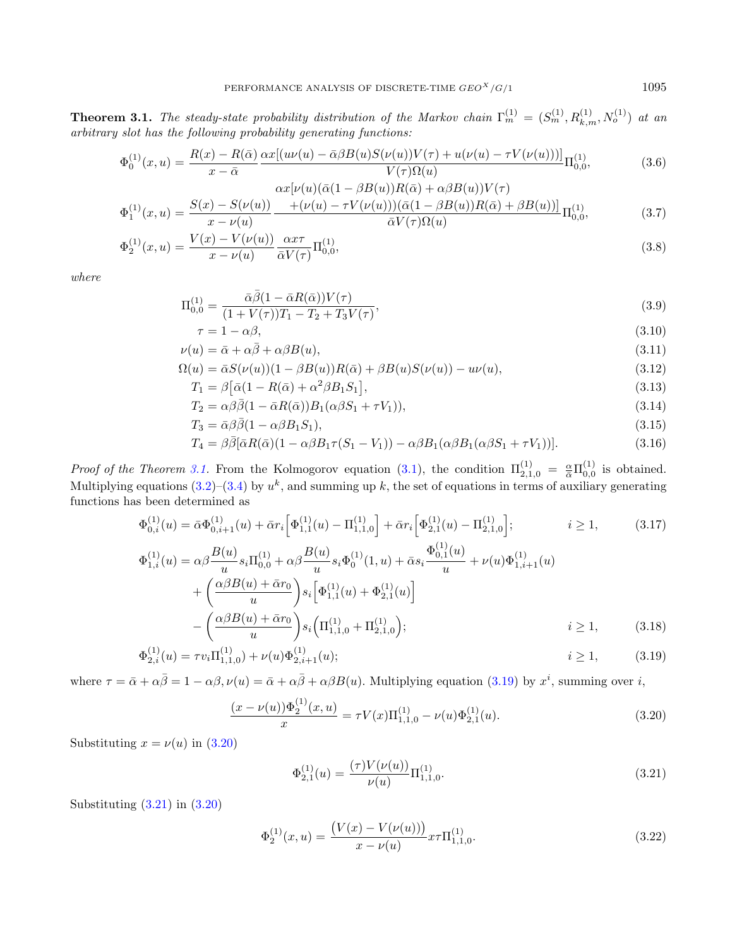**Theorem 3.1.** The steady-state probability distribution of the Markov chain  $\Gamma_m^{(1)} = (S_m^{(1)}, R_{k,m}^{(1)}, N_o^{(1)})$  at an arbitrary slot has the following probability generating functions:

<span id="page-6-7"></span>
$$
\Phi_0^{(1)}(x, u) = \frac{R(x) - R(\bar{\alpha})}{x - \bar{\alpha}} \frac{\alpha x [(u\nu(u) - \bar{\alpha}\beta B(u)S(\nu(u))V(\tau) + u(\nu(u) - \tau V(\nu(u)))]}{V(\tau)\Omega(u)} \Pi_{0,0}^{(1)},
$$
(3.6)

$$
\Phi_1^{(1)}(x,u) = \frac{S(x) - S(\nu(u))}{x - \nu(u)} \frac{+ (\nu(u) - \tau V(\nu(u))) (\bar{\alpha}(1 - \beta B(u))R(\bar{\alpha}) + \beta B(u))] }{\bar{\alpha}V(\tau)\Omega(u)} \Pi_{0,0}^{(1)},
$$
(3.7)

$$
\Phi_2^{(1)}(x,u) = \frac{V(x) - V(\nu(u))}{x - \nu(u)} \frac{\alpha x \tau}{\bar{\alpha} V(\tau)} \Pi_{0,0}^{(1)},
$$
\n(3.8)

where

$$
\Pi_{0,0}^{(1)} = \frac{\bar{\alpha}\bar{\beta}(1 - \bar{\alpha}R(\bar{\alpha}))V(\tau)}{(1 + V(\tau))T_1 - T_2 + T_3V(\tau)},
$$
\n(3.9)

<span id="page-6-6"></span>
$$
\tau = 1 - \alpha \beta, \tag{3.10}
$$
  

$$
\nu(u) = \bar{\alpha} + \alpha \bar{\beta} + \alpha \beta B(u), \tag{3.11}
$$

$$
\Omega(u) = \bar{\alpha}S(\nu(u))(1 - \beta B(u))R(\bar{\alpha}) + \beta B(u)S(\nu(u)) - u\nu(u),
$$
\n(3.12)

$$
T_1 = \beta \left[ \bar{\alpha} (1 - R(\bar{\alpha}) + \alpha^2 \beta B_1 S_1) \right],\tag{3.13}
$$

<span id="page-6-4"></span>
$$
T_2 = \alpha \beta \bar{\beta} (1 - \bar{\alpha} R(\bar{\alpha})) B_1(\alpha \beta S_1 + \tau V_1)), \qquad (3.14)
$$

$$
T_3 = \bar{\alpha}\beta\bar{\beta}(1 - \alpha\beta B_1 S_1),\tag{3.15}
$$

<span id="page-6-5"></span><span id="page-6-0"></span>
$$
T_4 = \beta \bar{\beta} [\bar{\alpha} R(\bar{\alpha})(1 - \alpha \beta B_1 \tau (S_1 - V_1)) - \alpha \beta B_1 (\alpha \beta B_1 (\alpha \beta S_1 + \tau V_1))]. \tag{3.16}
$$

*Proof of the Theorem [3.1.](#page-5-0)* From the Kolmogorov equation [\(3.1\)](#page-5-1), the condition  $\Pi_{2,1,0}^{(1)} = \frac{\alpha}{\bar{\alpha}} \Pi_{0,0}^{(1)}$  is obtained. Multiplying equations  $(3.2)$ – $(3.4)$  by  $u<sup>k</sup>$ , and summing up k, the set of equations in terms of auxiliary generating functions has been determined as

$$
\Phi_{0,i}^{(1)}(u) = \bar{\alpha}\Phi_{0,i+1}^{(1)}(u) + \bar{\alpha}r_{i} \Big[\Phi_{1,1}^{(1)}(u) - \Pi_{1,1,0}^{(1)}\Big] + \bar{\alpha}r_{i} \Big[\Phi_{2,1}^{(1)}(u) - \Pi_{2,1,0}^{(1)}\Big]; \qquad i \ge 1,
$$
\n(3.17)  
\n
$$
\Phi_{1,i}^{(1)}(u) = \alpha\beta \frac{B(u)}{u} s_{i} \Pi_{0,0}^{(1)} + \alpha\beta \frac{B(u)}{u} s_{i} \Phi_{0}^{(1)}(1, u) + \bar{\alpha} s_{i} \frac{\Phi_{0,1}^{(1)}(u)}{u} + \nu(u)\Phi_{1,i+1}^{(1)}(u)
$$
\n
$$
+ \left(\frac{\alpha\beta B(u) + \bar{\alpha}r_{0}}{u}\right) s_{i} \Big[\Phi_{1,1}^{(1)}(u) + \Phi_{2,1}^{(1)}(u)\Big]
$$
\n
$$
- \left(\frac{\alpha\beta B(u) + \bar{\alpha}r_{0}}{u}\right) s_{i} \Big(\Pi_{1,1,0}^{(1)} + \Pi_{2,1,0}^{(1)}\Big); \qquad i \ge 1,
$$
\n(3.18)  
\n
$$
\Phi_{2,i}^{(1)}(u) = \tau v_{i} \Pi_{1,1,0}^{(1)} + \nu(u)\Phi_{2,i+1}^{(1)}(u); \qquad i \ge 1,
$$
\n(3.19)

where  $\tau = \bar{\alpha} + \alpha \bar{\beta} = 1 - \alpha \beta$ ,  $\nu(u) = \bar{\alpha} + \alpha \bar{\beta} + \alpha \beta B(u)$ . Multiplying equation [\(3.19\)](#page-6-0) by  $x^i$ , summing over i,

<span id="page-6-1"></span>
$$
\frac{(x-\nu(u))\Phi_2^{(1)}(x,u)}{x} = \tau V(x)\Pi_{1,1,0}^{(1)} - \nu(u)\Phi_{2,1}^{(1)}(u). \tag{3.20}
$$

Substituting  $x = \nu(u)$  in [\(3.20\)](#page-6-1)

<span id="page-6-2"></span>
$$
\Phi_{2,1}^{(1)}(u) = \frac{(\tau)V(\nu(u))}{\nu(u)} \Pi_{1,1,0}^{(1)}.
$$
\n(3.21)

Substituting [\(3.21\)](#page-6-2) in [\(3.20\)](#page-6-1)

<span id="page-6-3"></span>
$$
\Phi_2^{(1)}(x,u) = \frac{\left(V(x) - V(\nu(u))\right)}{x - \nu(u)} x \tau \Pi_{1,1,0}^{(1)}.
$$
\n(3.22)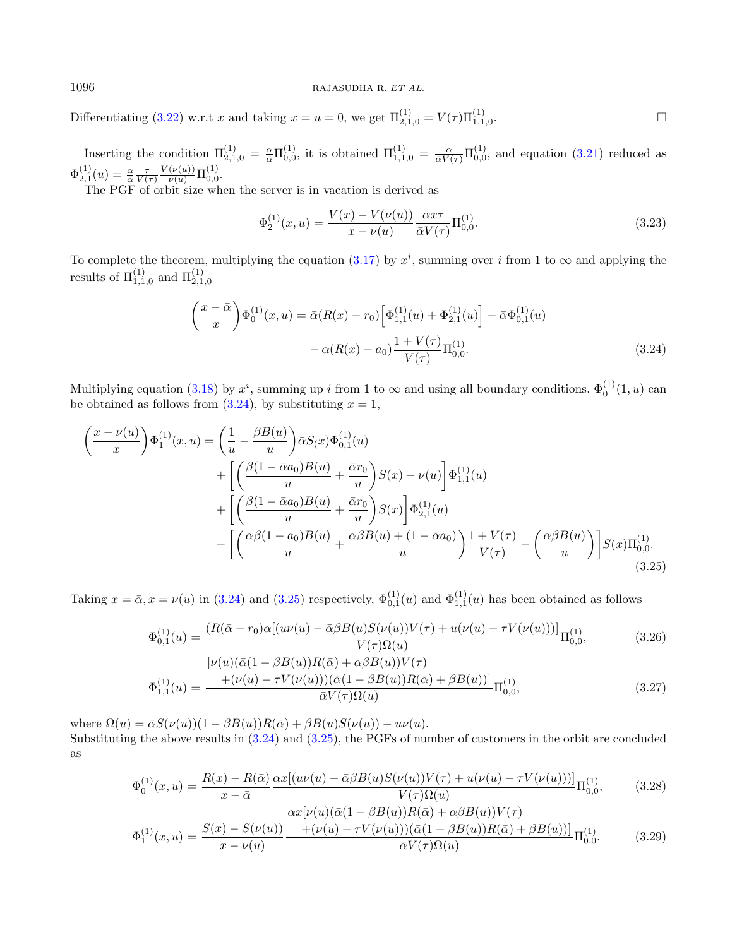Differentiating [\(3.22\)](#page-6-3) w.r.t x and taking  $x = u = 0$ , we get  $\Pi_{2,1,0}^{(1)} = V(\tau) \Pi_{1,1,0}^{(1)}$ .

Inserting the condition  $\Pi_{2,1,0}^{(1)} = \frac{\alpha}{\alpha} \Pi_{0,0}^{(1)}$ , it is obtained  $\Pi_{1,1,0}^{(1)} = \frac{\alpha}{\alpha V(\tau)} \Pi_{0,0}^{(1)}$ , and equation [\(3.21\)](#page-6-2) reduced as  $\Phi^{(1)}_{2,1}(u) = \frac{\alpha}{\bar{\alpha}} \frac{\tau}{V(\tau)}$  $\frac{V(\nu(u))}{\nu(u)} \prod_{0,0}^{(1)}$ 

The PGF of orbit size when the server is in vacation is derived as

<span id="page-7-3"></span><span id="page-7-1"></span>
$$
\Phi_2^{(1)}(x,u) = \frac{V(x) - V(\nu(u))}{x - \nu(u)} \frac{\alpha x \tau}{\bar{\alpha} V(\tau)} \Pi_{0,0}^{(1)}.
$$
\n(3.23)

To complete the theorem, multiplying the equation [\(3.17\)](#page-6-4) by  $x^i$ , summing over i from 1 to  $\infty$  and applying the results of  $\Pi_{1,1,0}^{(1)}$  and  $\Pi_{2,1,0}^{(1)}$ 

<span id="page-7-0"></span>
$$
\left(\frac{x-\bar{\alpha}}{x}\right)\Phi_0^{(1)}(x,u) = \bar{\alpha}(R(x)-r_0)\left[\Phi_{1,1}^{(1)}(u) + \Phi_{2,1}^{(1)}(u)\right] - \bar{\alpha}\Phi_{0,1}^{(1)}(u) - \alpha(R(x)-a_0)\frac{1+V(\tau)}{V(\tau)}\Pi_{0,0}^{(1)}.
$$
\n(3.24)

Multiplying equation [\(3.18\)](#page-6-5) by  $x^i$ , summing up i from 1 to  $\infty$  and using all boundary conditions.  $\Phi_0^{(1)}(1, u)$  can be obtained as follows from  $(3.24)$ , by substituting  $x = 1$ ,

$$
\begin{split}\n\left(\frac{x-\nu(u)}{x}\right) \Phi_{1}^{(1)}(x,u) &= \left(\frac{1}{u} - \frac{\beta B(u)}{u}\right) \bar{\alpha} S(x) \Phi_{0,1}^{(1)}(u) \\
&\quad + \left[ \left(\frac{\beta(1-\bar{\alpha}a_{0})B(u)}{u} + \frac{\bar{\alpha}r_{0}}{u}\right)S(x) - \nu(u) \right] \Phi_{1,1}^{(1)}(u) \\
&\quad + \left[ \left(\frac{\beta(1-\bar{\alpha}a_{0})B(u)}{u} + \frac{\bar{\alpha}r_{0}}{u}\right)S(x) \right] \Phi_{2,1}^{(1)}(u) \\
&\quad - \left[ \left(\frac{\alpha\beta(1-a_{0})B(u)}{u} + \frac{\alpha\beta B(u) + (1-\bar{\alpha}a_{0})}{u}\right) \frac{1+V(\tau)}{V(\tau)} - \left(\frac{\alpha\beta B(u)}{u}\right) \right] S(x) \Pi_{0,0}^{(1)}.\n\end{split} \tag{3.25}
$$

Taking  $x = \bar{\alpha}, x = \nu(u)$  in [\(3.24\)](#page-7-0) and [\(3.25\)](#page-7-1) respectively,  $\Phi_{0,1}^{(1)}(u)$  and  $\Phi_{1,1}^{(1)}(u)$  has been obtained as follows

$$
\Phi_{0,1}^{(1)}(u) = \frac{(R(\bar{\alpha} - r_0)\alpha[(u\nu(u) - \bar{\alpha}\beta B(u)S(\nu(u))V(\tau) + u(\nu(u) - \tau V(\nu(u)))]}{V(\tau)\Omega(u)}\Pi_{0,0}^{(1)},
$$
\n
$$
[\nu(u)(\bar{\alpha}(1 - \beta B(u))R(\bar{\alpha}) + \alpha\beta B(u))V(\tau)
$$
\n
$$
\Phi_{1,1}^{(1)}(u) = \frac{+(\nu(u) - \tau V(\nu(u)))(\bar{\alpha}(1 - \beta B(u))R(\bar{\alpha}) + \beta B(u))]}{\bar{\alpha}V(\tau)\Omega(u)}\Pi_{0,0}^{(1)},
$$
\n(3.27)

where  $\Omega(u) = \overline{\alpha}S(\nu(u))(1 - \beta B(u))R(\overline{\alpha}) + \beta B(u)S(\nu(u)) - u\nu(u).$ Substituting the above results in [\(3.24\)](#page-7-0) and [\(3.25\)](#page-7-1), the PGFs of number of customers in the orbit are concluded as

$$
\Phi_0^{(1)}(x,u) = \frac{R(x) - R(\bar{\alpha})}{x - \bar{\alpha}} \frac{\alpha x [(u\nu(u) - \bar{\alpha}\beta B(u)S(\nu(u))V(\tau) + u(\nu(u) - \tau V(\nu(u)))]}{V(\tau)\Omega(u)} \Pi_{0,0}^{(1)},
$$
(3.28)

<span id="page-7-2"></span>
$$
\Phi_1^{(1)}(x,u) = \frac{S(x) - S(\nu(u))}{x - \nu(u)} \frac{\alpha x[\nu(u)(\bar{\alpha}(1 - \beta B(u))R(\bar{\alpha}) + \alpha \beta B(u))V(\tau)}{(\bar{\alpha}(1 - \beta B(u))R(\bar{\alpha}) + \beta B(u))]}\Pi_{0,0}^{(1)}.
$$
\n(3.29)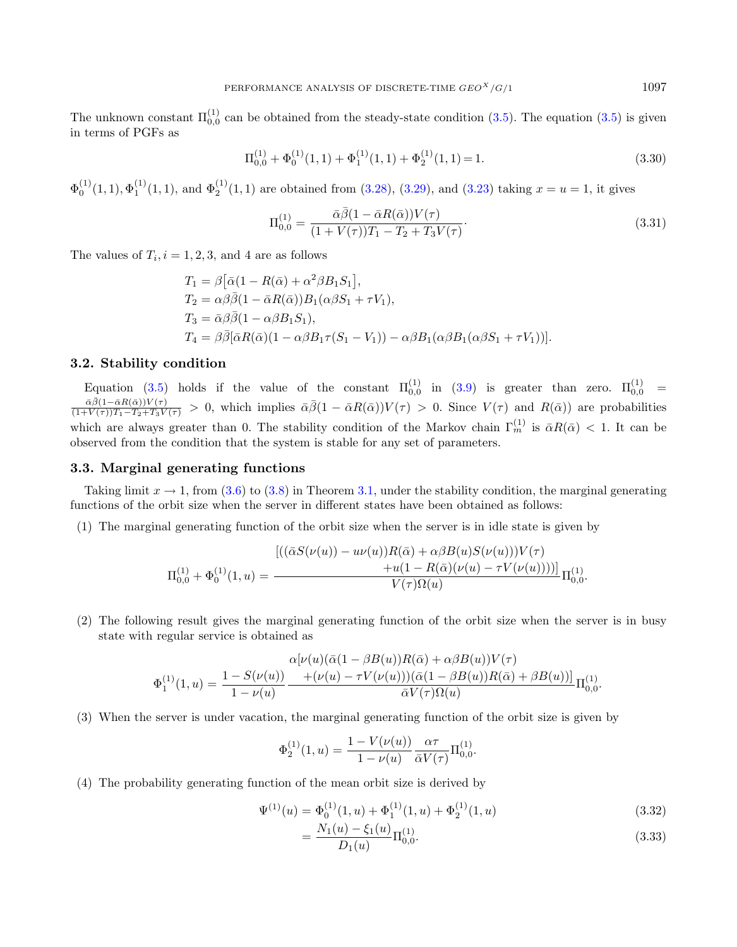The unknown constant  $\Pi_{0,0}^{(1)}$  can be obtained from the steady-state condition [\(3.5\)](#page-5-4). The equation (3.5) is given in terms of PGFs as

$$
\Pi_{0,0}^{(1)} + \Phi_0^{(1)}(1,1) + \Phi_1^{(1)}(1,1) + \Phi_2^{(1)}(1,1) = 1.
$$
\n(3.30)

 $\Phi_0^{(1)}(1,1), \Phi_1^{(1)}(1,1)$ , and  $\Phi_2^{(1)}(1,1)$  are obtained from [\(3.28\)](#page-7-2), [\(3.29\)](#page-7-2), and [\(3.23\)](#page-7-3) taking  $x = u = 1$ , it gives

$$
\Pi_{0,0}^{(1)} = \frac{\bar{\alpha}\bar{\beta}(1 - \bar{\alpha}R(\bar{\alpha}))V(\tau)}{(1 + V(\tau))T_1 - T_2 + T_3V(\tau)}.
$$
\n(3.31)

The values of  $T_i$ ,  $i = 1, 2, 3$ , and 4 are as follows

$$
T_1 = \beta [\bar{\alpha}(1 - R(\bar{\alpha}) + \alpha^2 \beta B_1 S_1)],
$$
  
\n
$$
T_2 = \alpha \beta \bar{\beta}(1 - \bar{\alpha}R(\bar{\alpha}))B_1(\alpha \beta S_1 + \tau V_1),
$$
  
\n
$$
T_3 = \bar{\alpha}\beta \bar{\beta}(1 - \alpha \beta B_1 S_1),
$$
  
\n
$$
T_4 = \beta \bar{\beta} [\bar{\alpha}R(\bar{\alpha})(1 - \alpha \beta B_1 \tau (S_1 - V_1)) - \alpha \beta B_1(\alpha \beta B_1(\alpha \beta S_1 + \tau V_1))].
$$

#### 3.2. Stability condition

Equation [\(3.5\)](#page-5-4) holds if the value of the constant  $\Pi_{0,0}^{(1)}$  in [\(3.9\)](#page-6-6) is greater than zero.  $\Pi_{0,0}^{(1)}$  =  $\frac{\bar{\alpha}\bar{\beta}(1-\bar{\alpha}R(\bar{\alpha}))V(\tau)}{(1+V(\tau))T_1-T_2+T_3V(\tau)} > 0$ , which implies  $\bar{\alpha}\bar{\beta}(1-\bar{\alpha}R(\bar{\alpha}))V(\tau) > 0$ . Since  $V(\tau)$  and  $R(\bar{\alpha})$ ) are probabilities which are always greater than 0. The stability condition of the Markov chain  $\Gamma_m^{(1)}$  is  $\bar{\alpha}R(\bar{\alpha}) < 1$ . It can be observed from the condition that the system is stable for any set of parameters.

# 3.3. Marginal generating functions

Taking limit  $x \to 1$ , from [\(3.6\)](#page-6-7) to [\(3.8\)](#page-6-7) in Theorem [3.1,](#page-5-0) under the stability condition, the marginal generating functions of the orbit size when the server in different states have been obtained as follows:

(1) The marginal generating function of the orbit size when the server is in idle state is given by

$$
\Pi_{0,0}^{(1)} + \Phi_0^{(1)}(1,u) = \frac{\left[ ((\bar{\alpha}S(\nu(u)) - u\nu(u))R(\bar{\alpha}) + \alpha\beta B(u)S(\nu(u)))V(\tau) \right.}{V(\tau)\Omega(u)} \Pi_{0,0}^{(1)} + \Pi_{0,0}^{(1)}.
$$

(2) The following result gives the marginal generating function of the orbit size when the server is in busy state with regular service is obtained as

$$
\Phi_1^{(1)}(1, u) = \frac{1 - S(\nu(u))}{1 - \nu(u)} \frac{\alpha[\nu(u)(\bar{\alpha}(1 - \beta B(u))R(\bar{\alpha}) + \alpha \beta B(u))V(\tau)}{N(\tau)\alpha(1 - \beta B(u))R(\bar{\alpha}) + \beta B(u))}\Pi_{0,0}^{(1)}.
$$

(3) When the server is under vacation, the marginal generating function of the orbit size is given by

$$
\Phi_2^{(1)}(1, u) = \frac{1 - V(\nu(u))}{1 - \nu(u)} \frac{\alpha \tau}{\bar{\alpha} V(\tau)} \Pi_{0,0}^{(1)}.
$$

(4) The probability generating function of the mean orbit size is derived by

<span id="page-8-0"></span>
$$
\Psi^{(1)}(u) = \Phi_0^{(1)}(1, u) + \Phi_1^{(1)}(1, u) + \Phi_2^{(1)}(1, u)
$$
\n(3.32)

$$
=\frac{N_1(u)-\xi_1(u)}{D_1(u)}\Pi_{0,0}^{(1)}.
$$
\n(3.33)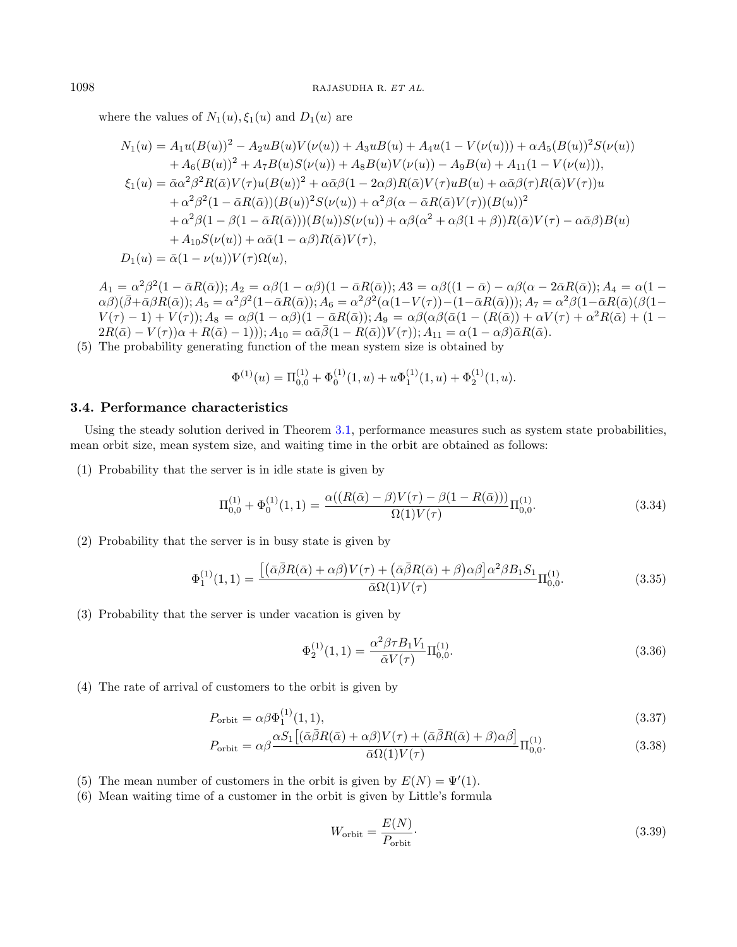where the values of  $N_1(u), \xi_1(u)$  and  $D_1(u)$  are

$$
N_1(u) = A_1u(B(u))^2 - A_2u(B(u)V(\nu(u)) + A_3u(B(u)) + A_4u(1 - V(\nu(u))) + \alpha A_5(B(u))^2 S(\nu(u))
$$
  
+  $A_6(B(u))^2 + A_7B(u)S(\nu(u)) + A_8B(u)V(\nu(u)) - A_9B(u) + A_{11}(1 - V(\nu(u))),$   
 $\xi_1(u) = \bar{\alpha}\alpha^2\beta^2 R(\bar{\alpha})V(\tau)u(B(u))^2 + \alpha\bar{\alpha}\beta(1 - 2\alpha\beta)R(\bar{\alpha})V(\tau)uB(u) + \alpha\bar{\alpha}\beta(\tau)R(\bar{\alpha})V(\tau))u$   
+  $\alpha^2\beta^2(1 - \bar{\alpha}R(\bar{\alpha}))(B(u))^2 S(\nu(u)) + \alpha^2\beta(\alpha - \bar{\alpha}R(\bar{\alpha})V(\tau))(B(u))^2$   
+  $\alpha^2\beta(1 - \beta(1 - \bar{\alpha}R(\bar{\alpha})))(B(u))S(\nu(u)) + \alpha\beta(\alpha^2 + \alpha\beta(1 + \beta))R(\bar{\alpha})V(\tau) - \alpha\bar{\alpha}\beta)B(u)$   
+  $A_{10}S(\nu(u)) + \alpha\bar{\alpha}(1 - \alpha\beta)R(\bar{\alpha})V(\tau),$   
 $D_1(u) = \bar{\alpha}(1 - \nu(u))V(\tau)\Omega(u),$ 

 $A_1 = \alpha^2 \beta^2 (1-\bar{\alpha}R(\bar{\alpha})); A_2 = \alpha \beta (1-\alpha \beta)(1-\bar{\alpha}R(\bar{\alpha})); A3 = \alpha \beta ((1-\bar{\alpha})-\alpha \beta (\alpha - 2 \bar{\alpha}R(\bar{\alpha})); A_4 = \alpha (1-\bar{\alpha})$  $(\alpha\beta)(\bar{\beta}+\bar{\alpha}\beta R(\bar{\alpha})); A_5=\alpha^2\beta^2(1-\bar{\alpha}R(\bar{\alpha})); A_6=\alpha^2\beta^2(\alpha(1-V(\tau))-(1-\bar{\alpha}R(\bar{\alpha})); A_7=\alpha^2\beta(1-\bar{\alpha}R(\bar{\alpha})(\beta(1-\bar{\alpha}N(\bar{\alpha})))$  $V(\tau)-1)+V(\tau)$ );  $A_8 = \alpha\beta(1-\alpha\beta)(1-\bar{\alpha}R(\bar{\alpha}))$ ;  $A_9 = \alpha\beta(\alpha\beta(\bar{\alpha}(1-(R(\bar{\alpha}))+\alpha V(\tau)+\alpha^2 R(\bar{\alpha})+(1-\alpha^2V(\tau)))$  $2R(\bar{\alpha}) - V(\tau)\alpha + R(\bar{\alpha}) - 1$ ));  $A_{10} = \alpha \bar{\alpha} \bar{\beta}(1 - R(\bar{\alpha}))V(\tau)$ ;  $A_{11} = \alpha(1 - \alpha \beta)\bar{\alpha}R(\bar{\alpha})$ .

(5) The probability generating function of the mean system size is obtained by

$$
\Phi^{(1)}(u) = \Pi_{0,0}^{(1)} + \Phi_0^{(1)}(1,u) + u\Phi_1^{(1)}(1,u) + \Phi_2^{(1)}(1,u).
$$

## 3.4. Performance characteristics

Using the steady solution derived in Theorem [3.1,](#page-5-0) performance measures such as system state probabilities, mean orbit size, mean system size, and waiting time in the orbit are obtained as follows:

(1) Probability that the server is in idle state is given by

<span id="page-9-2"></span>
$$
\Pi_{0,0}^{(1)} + \Phi_0^{(1)}(1,1) = \frac{\alpha((R(\bar{\alpha}) - \beta)V(\tau) - \beta(1 - R(\bar{\alpha})))}{\Omega(1)V(\tau)} \Pi_{0,0}^{(1)}.
$$
\n(3.34)

(2) Probability that the server is in busy state is given by

<span id="page-9-1"></span>
$$
\Phi_1^{(1)}(1,1) = \frac{\left[ (\bar{\alpha}\bar{\beta}R(\bar{\alpha}) + \alpha\beta)V(\tau) + (\bar{\alpha}\bar{\beta}R(\bar{\alpha}) + \beta)\alpha\beta \right]\alpha^2\beta B_1S_1}{\bar{\alpha}\Omega(1)V(\tau)}\Pi_{0,0}^{(1)}.
$$
\n(3.35)

(3) Probability that the server is under vacation is given by

<span id="page-9-0"></span>
$$
\Phi_2^{(1)}(1,1) = \frac{\alpha^2 \beta \tau B_1 V_1}{\bar{\alpha} V(\tau)} \Pi_{0,0}^{(1)}.
$$
\n(3.36)

(4) The rate of arrival of customers to the orbit is given by

$$
P_{\text{orbit}} = \alpha \beta \Phi_1^{(1)}(1,1),\tag{3.37}
$$

$$
P_{\text{orbit}} = \alpha \beta \frac{\alpha S_1 \left[ (\bar{\alpha}\bar{\beta}R(\bar{\alpha}) + \alpha\beta)V(\tau) + (\bar{\alpha}\bar{\beta}R(\bar{\alpha}) + \beta)\alpha\beta \right]}{\bar{\alpha}\Omega(1)V(\tau)} \Pi_{0,0}^{(1)}.
$$
(3.38)

- (5) The mean number of customers in the orbit is given by  $E(N) = \Psi'(1)$ .
- (6) Mean waiting time of a customer in the orbit is given by Little's formula

$$
W_{\text{orbit}} = \frac{E(N)}{P_{\text{orbit}}}.
$$
\n(3.39)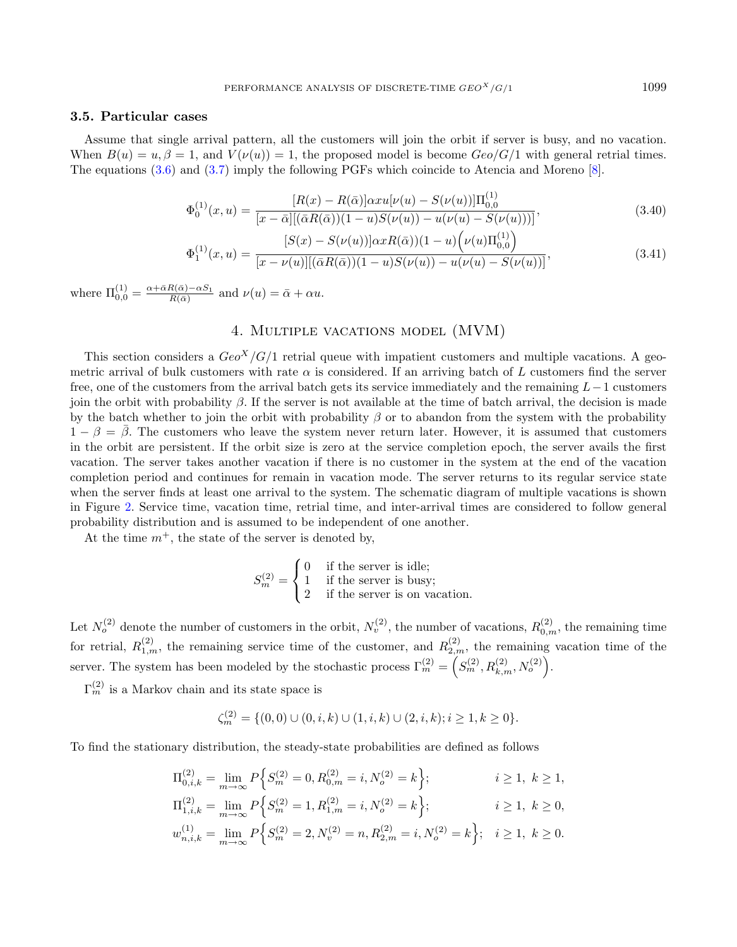#### 3.5. Particular cases

Assume that single arrival pattern, all the customers will join the orbit if server is busy, and no vacation. When  $B(u) = u, \beta = 1$ , and  $V(\nu(u)) = 1$ , the proposed model is become  $Geo/G/1$  with general retrial times. The equations [\(3.6\)](#page-6-7) and [\(3.7\)](#page-6-7) imply the following PGFs which coincide to Atencia and Moreno [\[8\]](#page-27-6).

$$
\Phi_0^{(1)}(x,u) = \frac{[R(x) - R(\bar{\alpha})] \alpha x u [\nu(u) - S(\nu(u))] \Pi_{0,0}^{(1)}}{[x - \bar{\alpha}] [(\bar{\alpha}R(\bar{\alpha}))(1 - u)S(\nu(u)) - u(\nu(u) - S(\nu(u)))]},
$$
\n(3.40)

$$
\Phi_1^{(1)}(x,u) = \frac{[S(x) - S(\nu(u))] \alpha x R(\bar{\alpha}))(1-u) \left(\nu(u)\Pi_{0,0}^{(1)}\right)}{[x - \nu(u)][(\bar{\alpha}R(\bar{\alpha}))(1-u)S(\nu(u)) - u(\nu(u) - S(\nu(u))]},
$$
\n(3.41)

where  $\Pi_{0,0}^{(1)} = \frac{\alpha + \bar{\alpha}R(\bar{\alpha}) - \alpha S_1}{R(\bar{\alpha})}$  and  $\nu(u) = \bar{\alpha} + \alpha u$ .

# 4. Multiple vacations model (MVM)

This section considers a  $Geo<sup>X</sup>/G/1$  retrial queue with impatient customers and multiple vacations. A geometric arrival of bulk customers with rate  $\alpha$  is considered. If an arriving batch of L customers find the server free, one of the customers from the arrival batch gets its service immediately and the remaining  $L-1$  customers join the orbit with probability  $\beta$ . If the server is not available at the time of batch arrival, the decision is made by the batch whether to join the orbit with probability  $\beta$  or to abandon from the system with the probability  $1 - \beta = \overline{\beta}$ . The customers who leave the system never return later. However, it is assumed that customers in the orbit are persistent. If the orbit size is zero at the service completion epoch, the server avails the first vacation. The server takes another vacation if there is no customer in the system at the end of the vacation completion period and continues for remain in vacation mode. The server returns to its regular service state when the server finds at least one arrival to the system. The schematic diagram of multiple vacations is shown in Figure [2.](#page-4-1) Service time, vacation time, retrial time, and inter-arrival times are considered to follow general probability distribution and is assumed to be independent of one another.

At the time  $m^+$ , the state of the server is denoted by,

$$
S_m^{(2)} = \begin{cases} 0 & \text{if the server is idle;} \\ 1 & \text{if the server is busy;} \\ 2 & \text{if the server is on vacation.} \end{cases}
$$

Let  $N_o^{(2)}$  denote the number of customers in the orbit,  $N_v^{(2)}$ , the number of vacations,  $R_{0,m}^{(2)}$ , the remaining time for retrial,  $R_{1,m}^{(2)}$ , the remaining service time of the customer, and  $R_{2,m}^{(2)}$ , the remaining vacation time of the server. The system has been modeled by the stochastic process  $\Gamma_m^{(2)} = \left( S_m^{(2)}, R_{k,m}^{(2)}, N_o^{(2)} \right)$ .

 $\Gamma_m^{(2)}$  is a Markov chain and its state space is

$$
\zeta_m^{(2)} = \{ (0,0) \cup (0,i,k) \cup (1,i,k) \cup (2,i,k); i \ge 1, k \ge 0 \}.
$$

To find the stationary distribution, the steady-state probabilities are defined as follows

$$
\Pi_{0,i,k}^{(2)} = \lim_{m \to \infty} P\Big\{ S_m^{(2)} = 0, R_{0,m}^{(2)} = i, N_o^{(2)} = k \Big\}; \qquad i \ge 1, k \ge 1,
$$
  
\n
$$
\Pi_{1,i,k}^{(2)} = \lim_{m \to \infty} P\Big\{ S_m^{(2)} = 1, R_{1,m}^{(2)} = i, N_o^{(2)} = k \Big\}; \qquad i \ge 1, k \ge 0,
$$

$$
w_{n,i,k}^{(1)} = \lim_{m \to \infty} P\Big\{ S_m^{(2)} = 2, N_v^{(2)} = n, R_{2,m}^{(2)} = i, N_o^{(2)} = k \Big\}; \quad i \ge 1, k \ge 0.
$$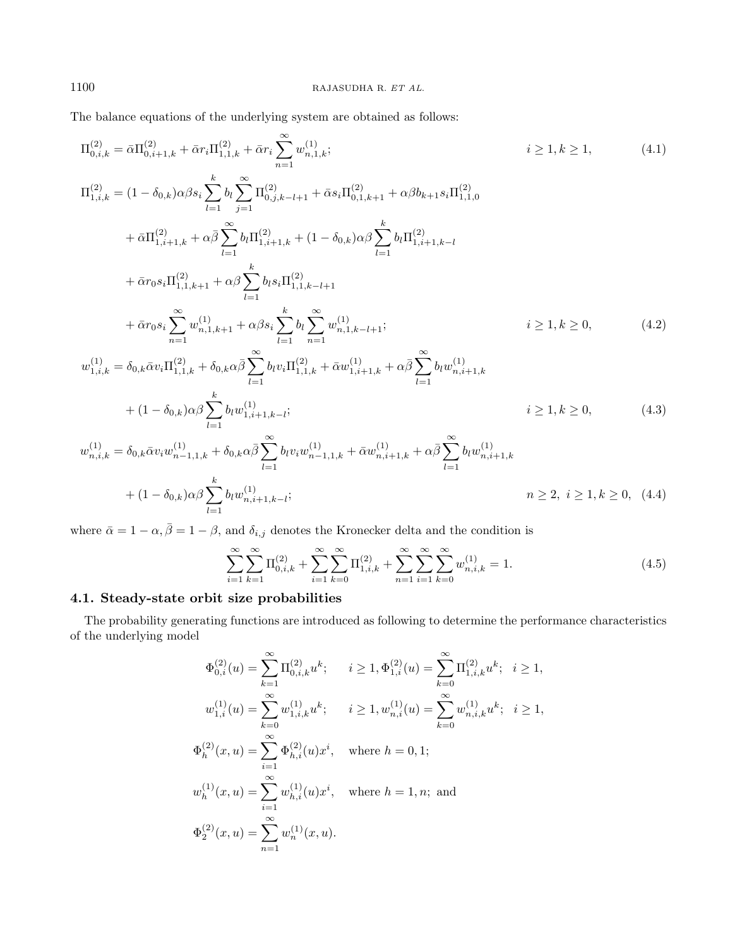The balance equations of the underlying system are obtained as follows:

$$
\Pi_{0,i,k}^{(2)} = \bar{\alpha} \Pi_{0,i+1,k}^{(2)} + \bar{\alpha} r_{i} \Pi_{1,1,k}^{(2)} + \bar{\alpha} r_{i} \sum_{n=1}^{\infty} w_{n,1,k}^{(1)}; \qquad i \geq 1, k \geq 1,
$$
\n
$$
\Pi_{1,i,k}^{(2)} = (1 - \delta_{0,k}) \alpha \beta s_{i} \sum_{l=1}^{k} b_{l} \sum_{j=1}^{\infty} \Pi_{0,j,k-l+1}^{(2)} + \bar{\alpha} s_{i} \Pi_{0,1,k+1}^{(2)} + \alpha \beta b_{k+1} s_{i} \Pi_{1,1,0}^{(2)}
$$
\n
$$
+ \bar{\alpha} \Pi_{1,i+1,k}^{(2)} + \alpha \bar{\beta} \sum_{l=1}^{\infty} b_{l} \Pi_{1,i+1,k}^{(2)} + (1 - \delta_{0,k}) \alpha \beta \sum_{l=1}^{k} b_{l} \Pi_{1,i+1,k-l}^{(2)}
$$
\n
$$
+ \bar{\alpha} r_{0} s_{i} \Pi_{1,1,k+1}^{(2)} + \alpha \beta \sum_{l=1}^{k} b_{l} s_{i} \Pi_{1,1,k-l+1}^{(2)}
$$
\n
$$
+ \bar{\alpha} r_{0} s_{i} \sum_{n=1}^{\infty} w_{n,1,k+1}^{(1)} + \alpha \beta s_{i} \sum_{l=1}^{k} b_{l} \sum_{n=1}^{\infty} w_{n,1,k-l+1}^{(1)}; \qquad i \geq 1, k \geq 0,
$$
\n
$$
w_{1,i,k}^{(1)} = \delta_{0,k} \bar{\alpha} v_{i} \Pi_{1,1,k}^{(2)} + \delta_{0,k} \alpha \bar{\beta} \sum_{l=1}^{\infty} b_{l} v_{i} \Pi_{1,1,k}^{(2)} + \bar{\alpha} w_{1,i+1,k}^{(1)} + \alpha \bar{\beta} \sum_{l=1}^{\infty} b_{l} w_{n,i+1,k}^{(1)}
$$
\n
$$
+ (1 - \delta_{0,k}) \alpha \beta \sum_{l=1}^{k} b_{l} w_{1,i+1,k-l}^{(1)}; \qquad i \geq 1, k \geq 0,
$$
\n
$$
w_{n,i,k}^{
$$

where  $\bar{\alpha} = 1 - \alpha, \bar{\beta} = 1 - \beta$ , and  $\delta_{i,j}$  denotes the Kronecker delta and the condition is

<span id="page-11-2"></span><span id="page-11-1"></span>
$$
\sum_{i=1}^{\infty} \sum_{k=1}^{\infty} \Pi_{0,i,k}^{(2)} + \sum_{i=1}^{\infty} \sum_{k=0}^{\infty} \Pi_{1,i,k}^{(2)} + \sum_{n=1}^{\infty} \sum_{i=1}^{\infty} \sum_{k=0}^{\infty} w_{n,i,k}^{(1)} = 1.
$$
\n(4.5)

# 4.1. Steady-state orbit size probabilities

The probability generating functions are introduced as following to determine the performance characteristics of the underlying model

$$
\begin{aligned} \Phi_{0,i}^{(2)}(u)&=\sum_{k=1}^{\infty}\Pi_{0,i,k}^{(2)}u^k; \quad \ \, i\geq 1, \Phi_{1,i}^{(2)}(u)=\sum_{k=0}^{\infty}\Pi_{1,i,k}^{(2)}u^k; \ \ \, i\geq 1,\\ w_{1,i}^{(1)}(u)&=\sum_{k=0}^{\infty}w_{1,i,k}^{(1)}u^k; \quad \ i\geq 1, w_{n,i}^{(1)}(u)=\sum_{k=0}^{\infty}w_{n,i,k}^{(1)}u^k; \ \ \, i\geq 1,\\ \Phi_{h}^{(2)}(x,u)&=\sum_{i=1}^{\infty}\Phi_{h,i}^{(2)}(u)x^i, \ \ \, \text{where }h=0,1;\\ w_{h}^{(1)}(x,u)&=\sum_{i=1}^{\infty}w_{h,i}^{(1)}(u)x^i, \ \ \, \text{where }h=1,n; \text{ and}\\ \Phi_{2}^{(2)}(x,u)&=\sum_{n=1}^{\infty}w_{n}^{(1)}(x,u). \end{aligned}
$$

<span id="page-11-0"></span>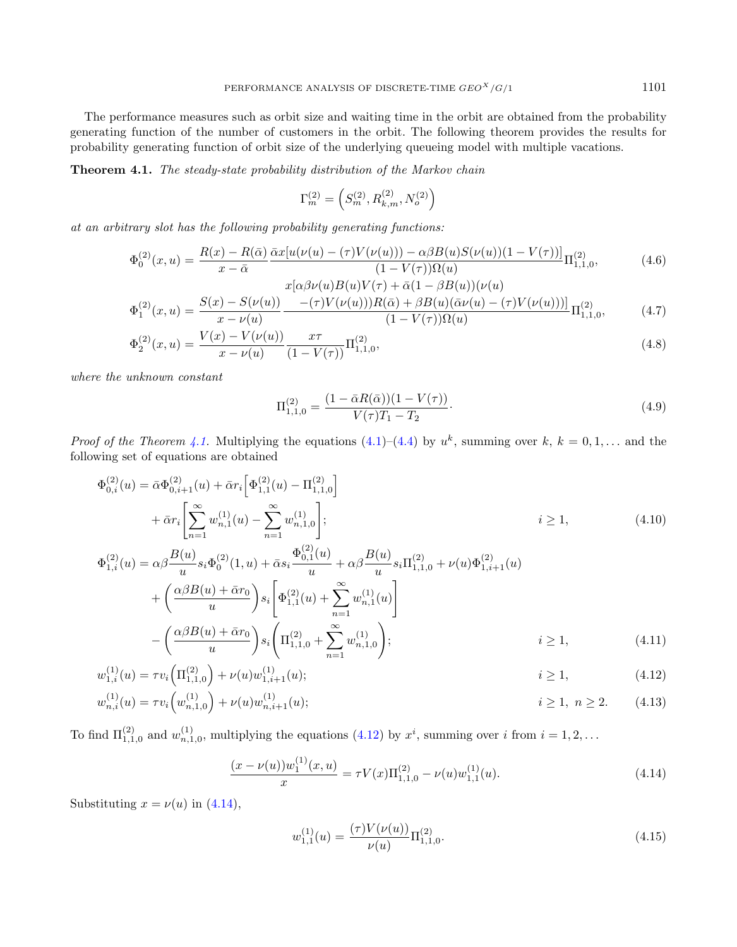The performance measures such as orbit size and waiting time in the orbit are obtained from the probability generating function of the number of customers in the orbit. The following theorem provides the results for probability generating function of orbit size of the underlying queueing model with multiple vacations.

Theorem 4.1. The steady-state probability distribution of the Markov chain

<span id="page-12-0"></span>
$$
\Gamma_m^{(2)} = \left( S_m^{(2)}, R_{k,m}^{(2)}, N_o^{(2)} \right)
$$

at an arbitrary slot has the following probability generating functions:

<span id="page-12-6"></span>
$$
\Phi_0^{(2)}(x,u) = \frac{R(x) - R(\bar{\alpha})}{x - \bar{\alpha}} \frac{\bar{\alpha}x[u(\nu(u) - (\tau)V(\nu(u))) - \alpha\beta B(u)S(\nu(u))(1 - V(\tau))]}{(1 - V(\tau))\Omega(u)} \Pi_{1,1,0}^{(2)},
$$
\n
$$
(4.6)
$$
\n
$$
x[\alpha\beta\nu(u)B(u)V(\tau) + \bar{\alpha}(1 - \beta B(u))(\nu(u))]
$$

$$
\Phi_1^{(2)}(x,u) = \frac{S(x) - S(\nu(u))}{x - \nu(u)} \frac{-(\tau)V(\nu(u))R(\bar{\alpha}) + \beta B(u)(\bar{\alpha}\nu(u) - (\tau)V(\nu(u)))}{(1 - V(\tau))\Omega(u)} \Pi_{1,1,0}^{(2)},\tag{4.7}
$$

$$
\Phi_2^{(2)}(x,u) = \frac{V(x) - V(\nu(u))}{x - \nu(u)} \frac{x\tau}{(1 - V(\tau))} \Pi_{1,1,0}^{(2)},
$$
\n(4.8)

where the unknown constant

<span id="page-12-5"></span><span id="page-12-4"></span><span id="page-12-1"></span>
$$
\Pi_{1,1,0}^{(2)} = \frac{(1 - \bar{\alpha}R(\bar{\alpha}))(1 - V(\tau))}{V(\tau)T_1 - T_2}.
$$
\n(4.9)

*Proof of the Theorem [4.1.](#page-12-0)* Multiplying the equations  $(4.1)$ – $(4.4)$  by  $u^k$ , summing over  $k, k = 0, 1, \ldots$  and the following set of equations are obtained

$$
\Phi_{0,i}^{(2)}(u) = \bar{\alpha}\Phi_{0,i+1}^{(2)}(u) + \bar{\alpha}r_{i} \left[ \Phi_{1,1}^{(2)}(u) - \Pi_{1,1,0}^{(2)} \right]
$$
\n
$$
+ \bar{\alpha}r_{i} \left[ \sum_{n=1}^{\infty} w_{n,1}^{(1)}(u) - \sum_{n=1}^{\infty} w_{n,1,0}^{(1)} \right]; \qquad i \ge 1,
$$
\n
$$
\Phi_{1,i}^{(2)}(u) = \alpha\beta \frac{B(u)}{u} s_{i} \Phi_{0}^{(2)}(1, u) + \bar{\alpha} s_{i} \frac{\Phi_{0,1}^{(2)}(u)}{u} + \alpha\beta \frac{B(u)}{u} s_{i} \Pi_{1,1,0}^{(2)} + \nu(u)\Phi_{1,i+1}^{(2)}(u)
$$
\n
$$
+ \left( \frac{\alpha\beta B(u) + \bar{\alpha}r_{0}}{u} \right) s_{i} \left[ \Phi_{1,1}^{(2)}(u) + \sum_{n=1}^{\infty} w_{n,1}^{(1)}(u) \right]
$$
\n
$$
- \left( \frac{\alpha\beta B(u) + \bar{\alpha}r_{0}}{u} \right) s_{i} \left( \Pi_{1,1,0}^{(2)} + \sum_{n=1}^{\infty} w_{n,1,0}^{(1)} \right); \qquad i \ge 1,
$$
\n(4.11)

$$
w_{1,i}^{(1)}(u) = \tau v_i \left( \Pi_{1,1,0}^{(2)} \right) + \nu(u) w_{1,i+1}^{(1)}(u); \qquad i \ge 1,
$$
\n(4.12)

$$
w_{n,i}^{(1)}(u) = \tau v_i \left( w_{n,1,0}^{(1)} \right) + \nu(u) w_{n,i+1}^{(1)}(u); \qquad i \ge 1, \ n \ge 2. \tag{4.13}
$$

To find  $\Pi_{1,1,0}^{(2)}$  and  $w_{n,1,0}^{(1)}$ , multiplying the equations  $(4.12)$  by  $x^i$ , summing over i from  $i = 1,2,...$ 

<span id="page-12-2"></span>
$$
\frac{(x-\nu(u))w_1^{(1)}(x,u)}{x} = \tau V(x)\Pi_{1,1,0}^{(2)} - \nu(u)w_{1,1}^{(1)}(u). \tag{4.14}
$$

Substituting  $x = \nu(u)$  in [\(4.14\)](#page-12-2),

<span id="page-12-3"></span>
$$
w_{1,1}^{(1)}(u) = \frac{(\tau)V(\nu(u))}{\nu(u)} \Pi_{1,1,0}^{(2)}.
$$
\n(4.15)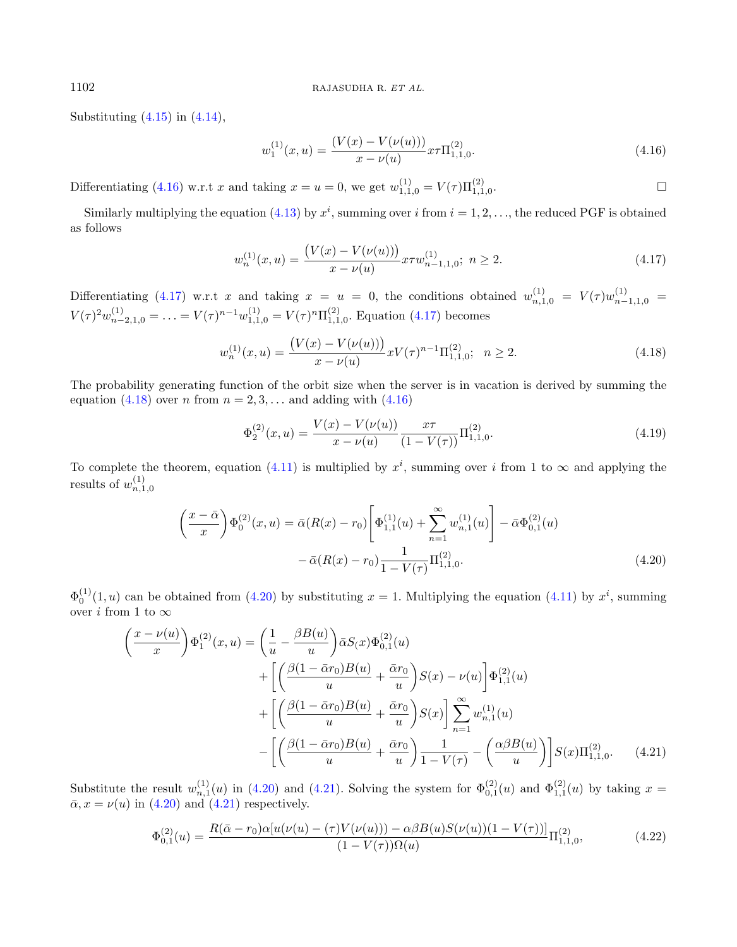Substituting  $(4.15)$  in  $(4.14)$ ,

<span id="page-13-0"></span>
$$
w_1^{(1)}(x,u) = \frac{(V(x) - V(\nu(u)))}{x - \nu(u)} x \tau \Pi_{1,1,0}^{(2)}.
$$
\n(4.16)

Differentiating [\(4.16\)](#page-13-0) w.r.t x and taking  $x = u = 0$ , we get  $w_{1,1,0}^{(1)} = V(\tau) \Pi_{1,1,0}^{(2)}$ .

Similarly multiplying the equation [\(4.13\)](#page-12-4) by  $x^i$ , summing over i from  $i = 1, 2, \ldots$ , the reduced PGF is obtained as follows

<span id="page-13-1"></span>
$$
w_n^{(1)}(x,u) = \frac{\left(V(x) - V(\nu(u))\right)}{x - \nu(u)} x \tau w_{n-1,1,0}^{(1)}; \ n \ge 2. \tag{4.17}
$$

Differentiating [\(4.17\)](#page-13-1) w.r.t x and taking  $x = u = 0$ , the conditions obtained  $w_{n,1,0}^{(1)} = V(\tau)w_{n-1,1,0}^{(1)} =$  $V(\tau)^2 w_{n-2,1,0}^{(1)} = \ldots = V(\tau)^{n-1} w_{1,1,0}^{(1)} = V(\tau)^n \Pi_{1,1,0}^{(2)}$ . Equation [\(4.17\)](#page-13-1) becomes

<span id="page-13-2"></span>
$$
w_n^{(1)}(x,u) = \frac{\left(V(x) - V(\nu(u))\right)}{x - \nu(u)} x V(\tau)^{n-1} \Pi_{1,1,0}^{(2)}; \ \ n \ge 2. \tag{4.18}
$$

The probability generating function of the orbit size when the server is in vacation is derived by summing the equation [\(4.18\)](#page-13-2) over *n* from  $n = 2, 3, \ldots$  and adding with [\(4.16\)](#page-13-0)

<span id="page-13-5"></span>
$$
\Phi_2^{(2)}(x,u) = \frac{V(x) - V(\nu(u))}{x - \nu(u)} \frac{x\tau}{(1 - V(\tau))} \Pi_{1,1,0}^{(2)}.
$$
\n(4.19)

To complete the theorem, equation [\(4.11\)](#page-12-5) is multiplied by  $x^i$ , summing over i from 1 to  $\infty$  and applying the results of  $w_{n,1,0}^{(1)}$ 

<span id="page-13-3"></span>
$$
\left(\frac{x-\bar{\alpha}}{x}\right)\Phi_0^{(2)}(x,u) = \bar{\alpha}(R(x)-r_0)\left[\Phi_{1,1}^{(1)}(u) + \sum_{n=1}^{\infty} w_{n,1}^{(1)}(u)\right] - \bar{\alpha}\Phi_{0,1}^{(2)}(u) - \bar{\alpha}(R(x)-r_0)\frac{1}{1-V(\tau)}\Pi_{1,1,0}^{(2)}.
$$
\n(4.20)

 $\Phi_0^{(1)}(1,u)$  can be obtained from [\(4.20\)](#page-13-3) by substituting  $x=1$ . Multiplying the equation [\(4.11\)](#page-12-5) by  $x^i$ , summing over *i* from 1 to  $\infty$ 

<span id="page-13-4"></span>
$$
\left(\frac{x-\nu(u)}{x}\right)\Phi_1^{(2)}(x,u) = \left(\frac{1}{u} - \frac{\beta B(u)}{u}\right)\bar{\alpha}S(x)\Phi_{0,1}^{(2)}(u) \n+ \left[\left(\frac{\beta(1-\bar{\alpha}r_0)B(u)}{u} + \frac{\bar{\alpha}r_0}{u}\right)S(x) - \nu(u)\right]\Phi_{1,1}^{(2)}(u) \n+ \left[\left(\frac{\beta(1-\bar{\alpha}r_0)B(u)}{u} + \frac{\bar{\alpha}r_0}{u}\right)S(x)\right]\sum_{n=1}^{\infty} w_{n,1}^{(1)}(u) \n- \left[\left(\frac{\beta(1-\bar{\alpha}r_0)B(u)}{u} + \frac{\bar{\alpha}r_0}{u}\right)\frac{1}{1-\nu(\tau)} - \left(\frac{\alpha\beta B(u)}{u}\right)\right]S(x)\Pi_{1,1,0}^{(2)}.
$$
\n(4.21)

Substitute the result  $w_{n,1}^{(1)}(u)$  in [\(4.20\)](#page-13-3) and [\(4.21\)](#page-13-4). Solving the system for  $\Phi_{0,1}^{(2)}(u)$  and  $\Phi_{1,1}^{(2)}(u)$  by taking  $x =$  $\bar{\alpha}$ ,  $x = \nu(u)$  in [\(4.20\)](#page-13-3) and [\(4.21\)](#page-13-4) respectively.

$$
\Phi_{0,1}^{(2)}(u) = \frac{R(\bar{\alpha} - r_0)\alpha[u(\nu(u) - (\tau)V(\nu(u)) - \alpha\beta B(u)S(\nu(u))(1 - V(\tau))]}{(1 - V(\tau))\Omega(u)}\Pi_{1,1,0}^{(2)},
$$
\n(4.22)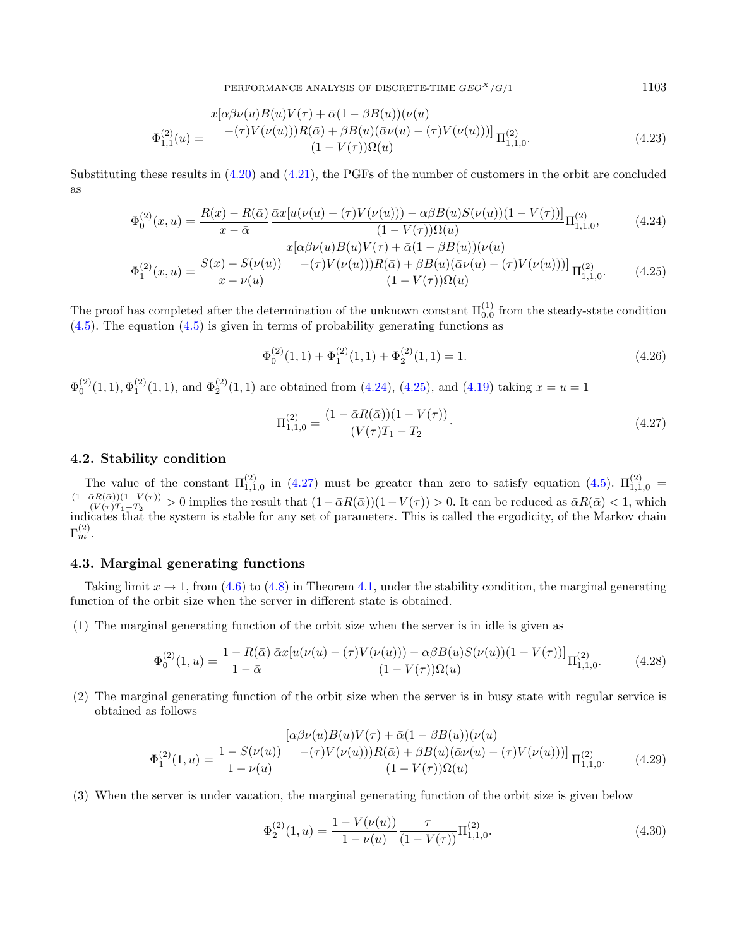$$
\Phi_{1,1}^{(2)}(u) = \frac{x[\alpha\beta\nu(u)B(u)V(\tau) + \bar{\alpha}(1-\beta B(u))(\nu(u))\beta(u)}{(1-V(\tau))\Omega(u)}\Pi_{1,1,0}^{(2)}.
$$
\n(4.23)

Substituting these results in [\(4.20\)](#page-13-3) and [\(4.21\)](#page-13-4), the PGFs of the number of customers in the orbit are concluded as

<span id="page-14-0"></span>
$$
\Phi_0^{(2)}(x, u) = \frac{R(x) - R(\bar{\alpha})}{x - \bar{\alpha}} \frac{\bar{\alpha}x[u(\nu(u) - (\tau)V(\nu(u))) - \alpha\beta B(u)S(\nu(u))(1 - V(\tau))]}{(1 - V(\tau))\Omega(u)} \Pi_{1,1,0}^{(2)},
$$
\n
$$
x[\alpha\beta\nu(u)B(u)V(\tau) + \bar{\alpha}(1 - \beta B(u))(\nu(u))
$$
\n(4.24)

$$
\Phi_1^{(2)}(x,u) = \frac{S(x) - S(\nu(u))}{x - \nu(u)} \frac{-(\tau)V(\nu(u)))R(\bar{\alpha}) + \beta B(u)(\bar{\alpha}\nu(u) - (\tau)V(\nu(u)))}{(1 - V(\tau))\Omega(u)} \Pi_{1,1,0}^{(2)}.
$$
(4.25)

The proof has completed after the determination of the unknown constant  $\Pi_{0,0}^{(1)}$  from the steady-state condition  $(4.5)$ . The equation  $(4.5)$  is given in terms of probability generating functions as

$$
\Phi_0^{(2)}(1,1) + \Phi_1^{(2)}(1,1) + \Phi_2^{(2)}(1,1) = 1.
$$
\n(4.26)

 $\Phi_0^{(2)}(1,1), \Phi_1^{(2)}(1,1)$ , and  $\Phi_2^{(2)}(1,1)$  are obtained from [\(4.24\)](#page-14-0), [\(4.25\)](#page-14-0), and [\(4.19\)](#page-13-5) taking  $x = u = 1$ 

<span id="page-14-1"></span>
$$
\Pi_{1,1,0}^{(2)} = \frac{(1 - \bar{\alpha}R(\bar{\alpha}))(1 - V(\tau))}{(V(\tau)T_1 - T_2)}.
$$
\n(4.27)

#### 4.2. Stability condition

The value of the constant  $\Pi_{1,1,0}^{(2)}$  in [\(4.27\)](#page-14-1) must be greater than zero to satisfy equation [\(4.5\)](#page-11-2).  $\Pi_{1,1,0}^{(2)} =$  $(1-\bar{\alpha}R(\bar{\alpha}))(1-V(\tau))$  $\frac{\partial R(\alpha)(1-V(\tau))}{(V(\tau)T_1-T_2} > 0$  implies the result that  $(1-\bar{\alpha}R(\bar{\alpha}))(1-V(\tau)) > 0$ . It can be reduced as  $\bar{\alpha}R(\bar{\alpha}) < 1$ , which indicates that the system is stable for any set of parameters. This is called the ergodicity, of the Markov chain  $\Gamma_m^{(2)}.$ 

## 4.3. Marginal generating functions

Taking limit  $x \to 1$ , from [\(4.6\)](#page-12-6) to [\(4.8\)](#page-12-6) in Theorem [4.1,](#page-12-0) under the stability condition, the marginal generating function of the orbit size when the server in different state is obtained.

(1) The marginal generating function of the orbit size when the server is in idle is given as

$$
\Phi_0^{(2)}(1,u) = \frac{1 - R(\bar{\alpha})}{1 - \bar{\alpha}} \frac{\bar{\alpha}x[u(\nu(u) - (\tau)V(\nu(u))) - \alpha\beta B(u)S(\nu(u))(1 - V(\tau))]}{(1 - V(\tau))\Omega(u)} \Pi_{1,1,0}^{(2)}.
$$
(4.28)

(2) The marginal generating function of the orbit size when the server is in busy state with regular service is obtained as follows

$$
\Phi_1^{(2)}(1,u) = \frac{1 - S(\nu(u))}{1 - \nu(u)} \frac{[\alpha \beta \nu(u)B(u)V(\tau) + \bar{\alpha}(1 - \beta B(u))(\nu(u))}{(1 - V(\tau))\Omega(u)} \Pi_{1,1,0}^{(2)}.
$$
\n(4.29)

(3) When the server is under vacation, the marginal generating function of the orbit size is given below

$$
\Phi_2^{(2)}(1,u) = \frac{1 - V(\nu(u))}{1 - \nu(u)} \frac{\tau}{(1 - V(\tau))} \Pi_{1,1,0}^{(2)}.
$$
\n(4.30)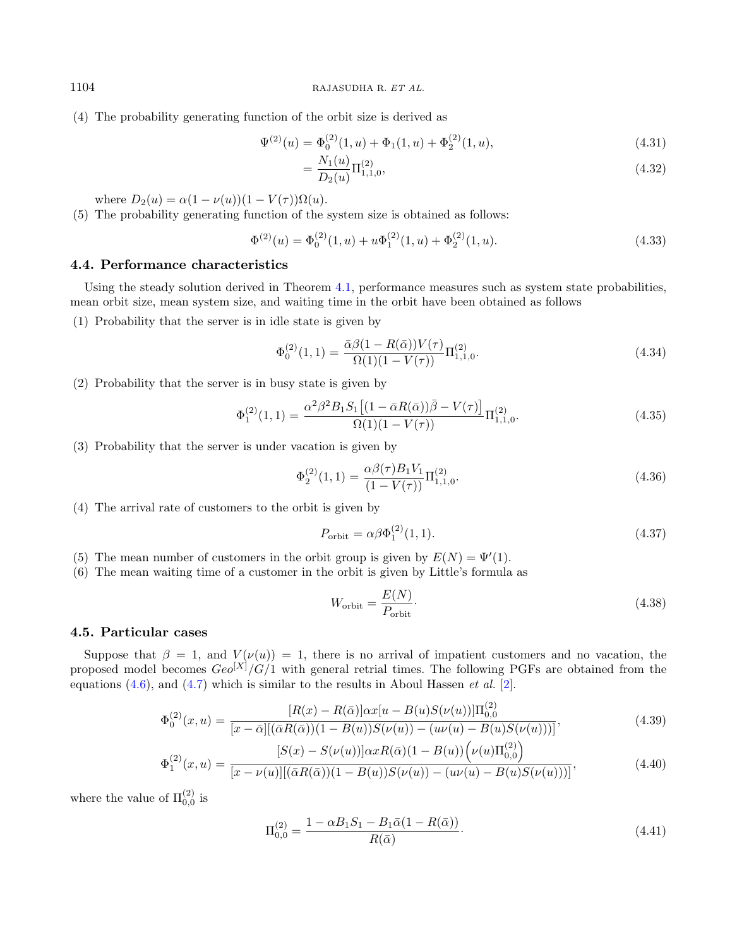(4) The probability generating function of the orbit size is derived as

<span id="page-15-0"></span>
$$
\Psi^{(2)}(u) = \Phi_0^{(2)}(1, u) + \Phi_1(1, u) + \Phi_2^{(2)}(1, u), \tag{4.31}
$$

$$
=\frac{N_1(u)}{D_2(u)}\Pi_{1,1,0}^{(2)},\tag{4.32}
$$

where  $D_2(u) = \alpha(1 - \nu(u))(1 - V(\tau))\Omega(u)$ .

(5) The probability generating function of the system size is obtained as follows:

$$
\Phi^{(2)}(u) = \Phi_0^{(2)}(1, u) + u\Phi_1^{(2)}(1, u) + \Phi_2^{(2)}(1, u). \tag{4.33}
$$

## 4.4. Performance characteristics

Using the steady solution derived in Theorem [4.1,](#page-12-0) performance measures such as system state probabilities, mean orbit size, mean system size, and waiting time in the orbit have been obtained as follows

(1) Probability that the server is in idle state is given by

<span id="page-15-3"></span>
$$
\Phi_0^{(2)}(1,1) = \frac{\bar{\alpha}\beta(1 - R(\bar{\alpha}))V(\tau)}{\Omega(1)(1 - V(\tau))}\Pi_{1,1,0}^{(2)}.
$$
\n(4.34)

(2) Probability that the server is in busy state is given by

<span id="page-15-2"></span>
$$
\Phi_1^{(2)}(1,1) = \frac{\alpha^2 \beta^2 B_1 S_1 \left[ (1 - \bar{\alpha} R(\bar{\alpha})) \bar{\beta} - V(\tau) \right]}{\Omega(1)(1 - V(\tau))} \Pi_{1,1,0}^{(2)}.
$$
\n(4.35)

(3) Probability that the server is under vacation is given by

<span id="page-15-1"></span>
$$
\Phi_2^{(2)}(1,1) = \frac{\alpha \beta(\tau) B_1 V_1}{(1 - V(\tau))} \Pi_{1,1,0}^{(2)}.
$$
\n(4.36)

(4) The arrival rate of customers to the orbit is given by

$$
P_{\text{orbit}} = \alpha \beta \Phi_1^{(2)}(1,1). \tag{4.37}
$$

- (5) The mean number of customers in the orbit group is given by  $E(N) = \Psi'(1)$ .
- (6) The mean waiting time of a customer in the orbit is given by Little's formula as

$$
W_{\text{orbit}} = \frac{E(N)}{P_{\text{orbit}}}.\tag{4.38}
$$

## 4.5. Particular cases

Suppose that  $\beta = 1$ , and  $V(\nu(u)) = 1$ , there is no arrival of impatient customers and no vacation, the proposed model becomes  $Geo^{[X]}/G/1$  with general retrial times. The following PGFs are obtained from the equations  $(4.6)$ , and  $(4.7)$  which is similar to the results in Aboul Hassen *et al.* [\[2\]](#page-27-13).

$$
\Phi_0^{(2)}(x,u) = \frac{[R(x) - R(\bar{\alpha})] \alpha x [u - B(u)S(\nu(u))] \Pi_{0,0}^{(2)}}{[x - \bar{\alpha}] [(\bar{\alpha}R(\bar{\alpha}))(1 - B(u))S(\nu(u)) - (u\nu(u) - B(u)S(\nu(u)))]},
$$
\n(4.39)

$$
\Phi_1^{(2)}(x,u) = \frac{[S(x) - S(\nu(u))] \alpha x R(\bar{\alpha})(1 - B(u)) \left(\nu(u)\Pi_{0,0}^{(2)}\right)}{[x - \nu(u)][(\bar{\alpha}R(\bar{\alpha}))(1 - B(u))S(\nu(u)) - (u\nu(u) - B(u)S(\nu(u)))]},\tag{4.40}
$$

where the value of  $\Pi_{0,0}^{(2)}$  is

$$
\Pi_{0,0}^{(2)} = \frac{1 - \alpha B_1 S_1 - B_1 \bar{\alpha} (1 - R(\bar{\alpha}))}{R(\bar{\alpha})}.
$$
\n(4.41)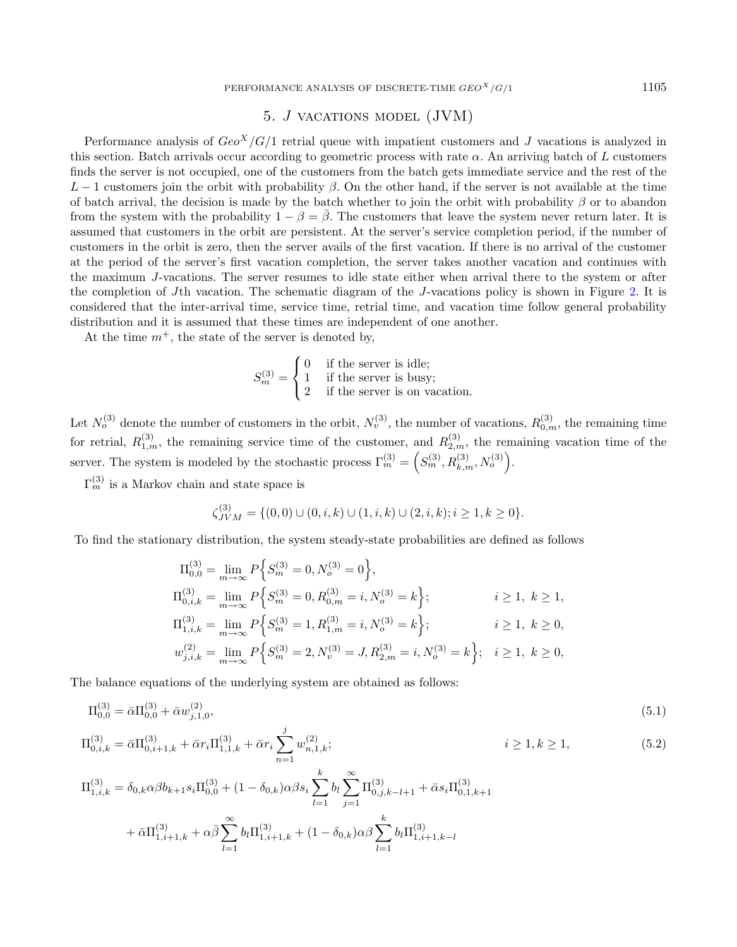# 5. *J* VACATIONS MODEL (JVM)

<span id="page-16-0"></span>Performance analysis of  $Geo<sup>X</sup>/G/1$  retrial queue with impatient customers and J vacations is analyzed in this section. Batch arrivals occur according to geometric process with rate  $\alpha$ . An arriving batch of  $L$  customers finds the server is not occupied, one of the customers from the batch gets immediate service and the rest of the  $L-1$  customers join the orbit with probability  $\beta$ . On the other hand, if the server is not available at the time of batch arrival, the decision is made by the batch whether to join the orbit with probability  $\beta$  or to abandon from the system with the probability  $1 - \beta = \overline{\beta}$ . The customers that leave the system never return later. It is assumed that customers in the orbit are persistent. At the server's service completion period, if the number of customers in the orbit is zero, then the server avails of the first vacation. If there is no arrival of the customer at the period of the server's first vacation completion, the server takes another vacation and continues with the maximum J-vacations. The server resumes to idle state either when arrival there to the system or after the completion of J<sup>th</sup> vacation. The schematic diagram of the J-vacations policy is shown in Figure [2.](#page-4-1) It is considered that the inter-arrival time, service time, retrial time, and vacation time follow general probability distribution and it is assumed that these times are independent of one another.

At the time  $m^+$ , the state of the server is denoted by,

<span id="page-16-1"></span>
$$
S_m^{(3)} = \begin{cases} 0 & \text{if the server is idle;} \\ 1 & \text{if the server is busy;} \\ 2 & \text{if the server is on vacation.} \end{cases}
$$

Let  $N_o^{(3)}$  denote the number of customers in the orbit,  $N_v^{(3)}$ , the number of vacations,  $R_{0,m}^{(3)}$ , the remaining time for retrial,  $R_{1,m}^{(3)}$ , the remaining service time of the customer, and  $R_{2,m}^{(3)}$ , the remaining vacation time of the server. The system is modeled by the stochastic process  $\Gamma_m^{(3)} = \left( S_m^{(3)}, R_{k,m}^{(3)}, N_o^{(3)} \right)$ .

 $\Gamma_m^{(3)}$  is a Markov chain and state space is

<span id="page-16-2"></span>
$$
\zeta_{JVM}^{(3)} = \{ (0,0) \cup (0,i,k) \cup (1,i,k) \cup (2,i,k); i \ge 1, k \ge 0 \}.
$$

To find the stationary distribution, the system steady-state probabilities are defined as follows

$$
\Pi_{0,0}^{(3)} = \lim_{m \to \infty} P\Big\{ S_m^{(3)} = 0, N_o^{(3)} = 0 \Big\},
$$
  
\n
$$
\Pi_{0,i,k}^{(3)} = \lim_{m \to \infty} P\Big\{ S_m^{(3)} = 0, R_{0,m}^{(3)} = i, N_o^{(3)} = k \Big\}; \t i \ge 1, k \ge 1,
$$
  
\n
$$
\Pi_{1,i,k}^{(3)} = \lim_{m \to \infty} P\Big\{ S_m^{(3)} = 1, R_{1,m}^{(3)} = i, N_o^{(3)} = k \Big\}; \t i \ge 1, k \ge 0,
$$
  
\n
$$
w_{j,i,k}^{(2)} = \lim_{m \to \infty} P\Big\{ S_m^{(3)} = 2, N_v^{(3)} = J, R_{2,m}^{(3)} = i, N_o^{(3)} = k \Big\}; \t i \ge 1, k \ge 0,
$$

The balance equations of the underlying system are obtained as follows:

$$
\Pi_{0,0}^{(3)} = \bar{\alpha} \Pi_{0,0}^{(3)} + \bar{\alpha} w_{j,1,0}^{(2)},\tag{5.1}
$$

$$
\Pi_{0,i,k}^{(3)} = \bar{\alpha} \Pi_{0,i+1,k}^{(3)} + \bar{\alpha} r_i \Pi_{1,1,k}^{(3)} + \bar{\alpha} r_i \sum_{n=1}^{j} w_{n,1,k}^{(2)}; \qquad i \ge 1, k \ge 1,
$$
\n(5.2)

$$
\Pi_{1,i,k}^{(3)} = \delta_{0,k}\alpha\beta b_{k+1} s_i \Pi_{0,0}^{(3)} + (1 - \delta_{0,k})\alpha\beta s_i \sum_{l=1}^k b_l \sum_{j=1}^\infty \Pi_{0,j,k-l+1}^{(3)} + \bar{\alpha} s_i \Pi_{0,1,k+1}^{(3)}
$$

$$
+ \bar{\alpha} \Pi_{1,i+1,k}^{(3)} + \alpha \bar{\beta} \sum_{l=1}^\infty b_l \Pi_{1,i+1,k}^{(3)} + (1 - \delta_{0,k})\alpha\beta \sum_{l=1}^k b_l \Pi_{1,i+1,k-l}^{(3)}
$$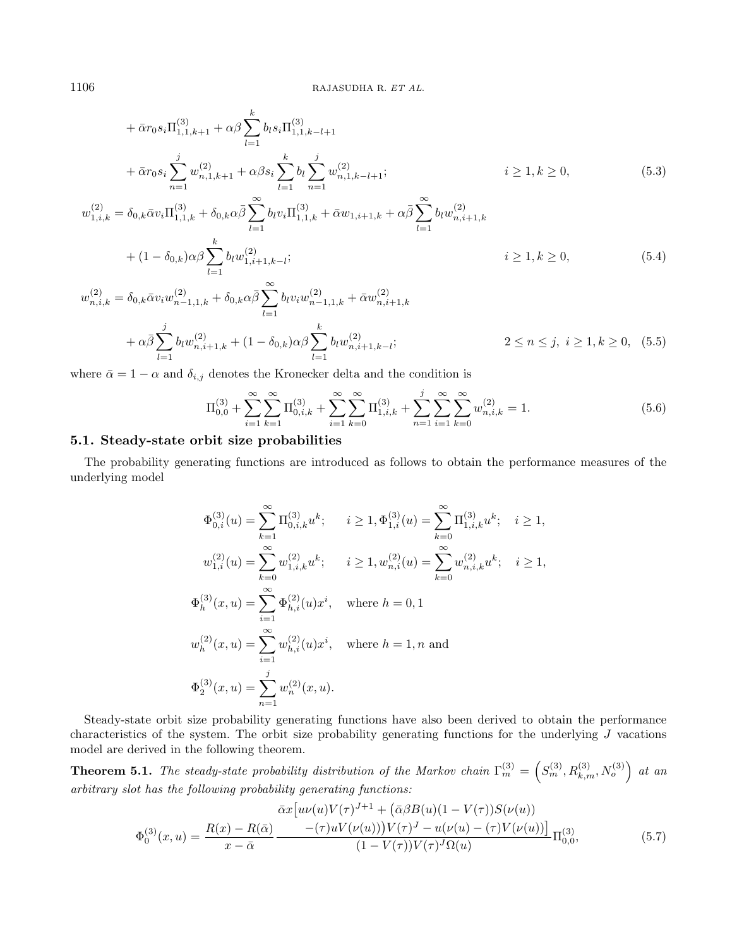$$
+ \bar{\alpha}r_{0}s_{i}\Pi_{1,1,k+1}^{(3)} + \alpha\beta \sum_{l=1}^{k} b_{l}s_{i}\Pi_{1,1,k-l+1}^{(3)}
$$
  
+  $\bar{\alpha}r_{0}s_{i} \sum_{n=1}^{j} w_{n,1,k+1}^{(2)} + \alpha\beta s_{i} \sum_{l=1}^{k} b_{l} \sum_{n=1}^{j} w_{n,1,k-l+1}^{(2)};$   $i \ge 1, k \ge 0,$   

$$
w_{1,i,k}^{(2)} = \delta_{0,k}\bar{\alpha}v_{i}\Pi_{1,1,k}^{(3)} + \delta_{0,k}\alpha\bar{\beta} \sum_{l=1}^{\infty} b_{l}v_{i}\Pi_{1,1,k}^{(3)} + \bar{\alpha}w_{1,i+1,k} + \alpha\bar{\beta} \sum_{l=1}^{\infty} b_{l}w_{n,i+1,k}^{(2)}
$$
(5.3)

$$
k \leftarrow \frac{1}{k!} \sum_{l=1}^{k} \sum_{i=1}^{k} \sum_{j=1}^{k} \sum_{j=1}^{k} \sum_{i=1}^{k} \sum_{j=1}^{k} \sum_{j=1}^{k} \sum_{j=1}^{k} \sum_{j=1}^{k} \sum_{j=1}^{k} \sum_{j=1}^{k} \sum_{j=1}^{k} \sum_{j=1}^{k} \sum_{j=1}^{k} \sum_{j=1}^{k} \sum_{j=1}^{k} \sum_{j=1}^{k} \sum_{j=1}^{k} \sum_{j=1}^{k} \sum_{j=1}^{k} \sum_{j=1}^{k} \sum_{j=1}^{k} \sum_{j=1}^{k} \sum_{j=1}^{k} \sum_{j=1}^{k} \sum_{j=1}^{k} \sum_{j=1}^{k} \sum_{j=1}^{k} \sum_{j=1}^{k} \sum_{j=1}^{k} \sum_{j=1}^{k} \sum_{j=1}^{k} \sum_{j=1}^{k} \sum_{j=1}^{k} \sum_{j=1}^{k} \sum_{j=1}^{k} \sum_{j=1}^{k} \sum_{j=1}^{k} \sum_{j=1}^{k} \sum_{j=1}^{k} \sum_{j=1}^{k} \sum_{j=1}^{k} \sum_{j=1}^{k} \sum_{j=1}^{k} \sum_{j=1}^{k} \sum_{j=1}^{k} \sum_{j=1}^{k} \sum_{j=1}^{k} \sum_{j=1}^{k} \sum_{j=1}^{k} \sum_{j=1}^{k} \sum_{j=1}^{k} \sum_{j=1}^{k} \sum_{j=1}^{k} \sum_{j=1}^{k} \sum_{j=1}^{k} \sum_{j=1}^{k} \sum_{j=1}^{k} \sum_{j=1}^{k} \sum_{j=1}^{k} \sum_{j=1}^{k} \sum_{j=1}^{k} \sum_{j=1}^{k} \sum_{j=1}^{k} \sum_{j=1}^{k} \sum_{j=1}^{k} \sum_{j=1}^{k} \sum_{j=1}^{k} \sum_{j=1}^{k} \sum_{j=1}^{k} \sum_{j=1}^{k} \sum_{j=1}^{k} \sum_{j=1}^{k} \sum_{j=1}^{k} \sum_{j=1}
$$

$$
w_{n,i,k}^{(2)} = \delta_{0,k} \bar{\alpha} v_i w_{n-1,1,k}^{(2)} + \delta_{0,k} \alpha \bar{\beta} \sum_{l=1}^{\infty} b_l v_i w_{n-1,1,k}^{(2)} + \alpha \bar{\beta} \sum_{l=1}^{j} b_l w_{n,i+1,k}^{(2)} + (1 - \delta_{0,k}) \alpha \beta \sum_{l=1}^{k} b_l w_{n,i+1,k-l}^{(2)}; \qquad 2 \le n \le j, \ i \ge 1, k \ge 0, \ (5.5)
$$

where  $\bar{\alpha} = 1 - \alpha$  and  $\delta_{i,j}$  denotes the Kronecker delta and the condition is

<span id="page-17-1"></span>
$$
\Pi_{0,0}^{(3)} + \sum_{i=1}^{\infty} \sum_{k=1}^{\infty} \Pi_{0,i,k}^{(3)} + \sum_{i=1}^{\infty} \sum_{k=0}^{\infty} \Pi_{1,i,k}^{(3)} + \sum_{n=1}^{j} \sum_{i=1}^{\infty} \sum_{k=0}^{\infty} w_{n,i,k}^{(2)} = 1.
$$
\n(5.6)

#### 5.1. Steady-state orbit size probabilities

The probability generating functions are introduced as follows to obtain the performance measures of the underlying model

<span id="page-17-0"></span>
$$
\Phi_{0,i}^{(3)}(u) = \sum_{k=1}^{\infty} \Pi_{0,i,k}^{(3)} u^k; \quad i \ge 1, \Phi_{1,i}^{(3)}(u) = \sum_{k=0}^{\infty} \Pi_{1,i,k}^{(3)} u^k; \quad i \ge 1,
$$
  
\n
$$
w_{1,i}^{(2)}(u) = \sum_{k=0}^{\infty} w_{1,i,k}^{(2)} u^k; \quad i \ge 1, w_{n,i}^{(2)}(u) = \sum_{k=0}^{\infty} w_{n,i,k}^{(2)} u^k; \quad i \ge 1,
$$
  
\n
$$
\Phi_h^{(3)}(x, u) = \sum_{i=1}^{\infty} \Phi_{h,i}^{(2)}(u) x^i, \quad \text{where } h = 0, 1
$$
  
\n
$$
w_h^{(2)}(x, u) = \sum_{i=1}^{\infty} w_{h,i}^{(2)}(u) x^i, \quad \text{where } h = 1, n \text{ and}
$$
  
\n
$$
\Phi_2^{(3)}(x, u) = \sum_{n=1}^j w_n^{(2)}(x, u).
$$

Steady-state orbit size probability generating functions have also been derived to obtain the performance characteristics of the system. The orbit size probability generating functions for the underlying  $J$  vacations model are derived in the following theorem.

**Theorem 5.1.** The steady-state probability distribution of the Markov chain  $\Gamma_m^{(3)} = \left(S_m^{(3)}, R_{k,m}^{(3)}, N_o^{(3)}\right)$  at an arbitrary slot has the following probability generating functions:

<span id="page-17-2"></span>
$$
\bar{\alpha}x[u\nu(u)V(\tau)^{J+1} + (\bar{\alpha}\beta B(u)(1 - V(\tau))S(\nu(u))\n\Phi_0^{(3)}(x, u) = \frac{R(x) - R(\bar{\alpha})}{x - \bar{\alpha}} \frac{-(\tau)uV(\nu(u))V(\tau)^{J} - u(\nu(u) - (\tau)V(\nu(u)))}{(1 - V(\tau))V(\tau)^{J}\Omega(u)}\Pi_{0,0}^{(3)},
$$
\n(5.7)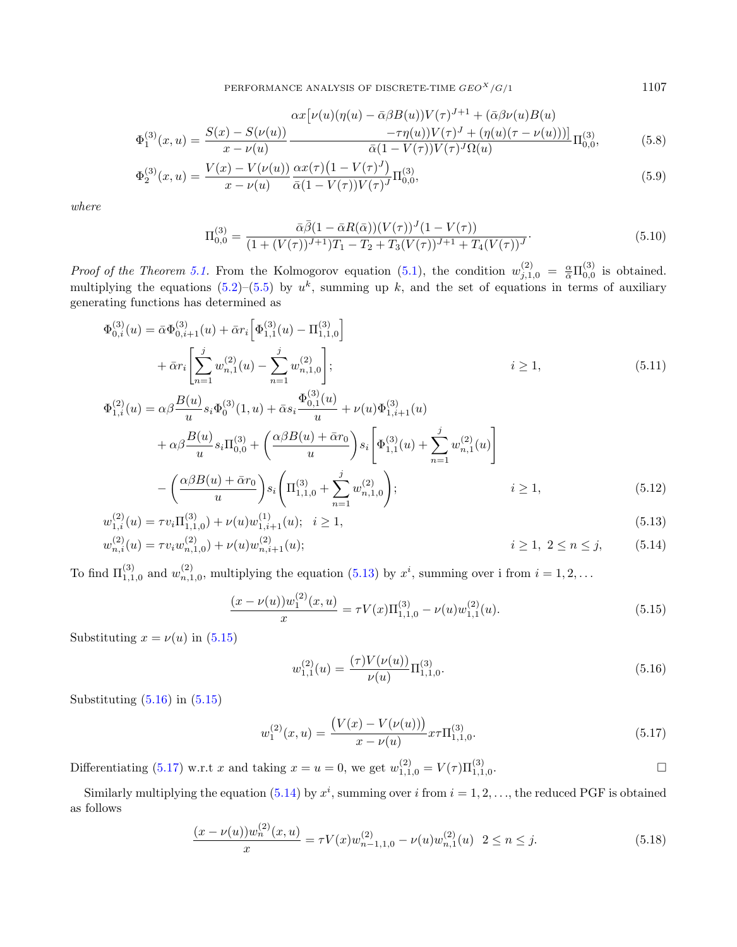$$
\Phi_1^{(3)}(x,u) = \frac{S(x) - S(\nu(u))}{x - \nu(u)} \frac{\alpha x [\nu(u)(\eta(u) - \bar{\alpha}\beta B(u))V(\tau)^{J+1} + (\bar{\alpha}\beta\nu(u)B(u)) - \tau \eta(u)(\tau - \nu(u)))]}{\bar{\alpha}(1 - V(\tau))V(\tau)^J \Omega(u)} \Pi_{0,0}^{(3)},
$$
(5.8)

$$
\Phi_2^{(3)}(x,u) = \frac{V(x) - V(\nu(u))}{x - \nu(u)} \frac{\alpha x(\tau)(1 - V(\tau)^J)}{\bar{\alpha}(1 - V(\tau))V(\tau)^J} \Pi_{0,0}^{(3)},\tag{5.9}
$$

where

$$
\Pi_{0,0}^{(3)} = \frac{\bar{\alpha}\bar{\beta}(1-\bar{\alpha}R(\bar{\alpha}))(V(\tau))^{J}(1-V(\tau))}{(1+(V(\tau))^{J+1})T_{1}-T_{2}+T_{3}(V(\tau))^{J+1}+T_{4}(V(\tau))^{J}}.
$$
\n(5.10)

*Proof of the Theorem [5.1.](#page-17-0)* From the Kolmogorov equation [\(5.1\)](#page-16-1), the condition  $w_{j,1,0}^{(2)} = \frac{\alpha}{\bar{\alpha}} \Pi_{0,0}^{(3)}$  is obtained. multiplying the equations [\(5.2\)](#page-16-2)–[\(5.5\)](#page-17-1) by  $u^k$ , summing up k, and the set of equations in terms of auxiliary generating functions has determined as

$$
\Phi_{0,i}^{(3)}(u) = \bar{\alpha}\Phi_{0,i+1}^{(3)}(u) + \bar{\alpha}r_i \left[ \Phi_{1,1}^{(3)}(u) - \Pi_{1,1,0}^{(3)} \right] \n+ \bar{\alpha}r_i \left[ \sum_{n=1}^j w_{n,1}^{(2)}(u) - \sum_{n=1}^j w_{n,1,0}^{(2)} \right]; \qquad i \ge 1,
$$
\n(5.11)  
\n
$$
\Phi_{1,i}^{(2)}(u) = \alpha\beta \frac{B(u)}{u} s_i \Phi_0^{(3)}(1, u) + \bar{\alpha} s_i \frac{\Phi_{0,1}^{(3)}(u)}{u} + \nu(u)\Phi_{1,i+1}^{(3)}(u) \n+ \alpha\beta \frac{B(u)}{u} s_i \Pi_{0,0}^{(3)} + \left( \frac{\alpha\beta B(u) + \bar{\alpha}r_0}{u} \right) s_i \left[ \Phi_{1,1}^{(3)}(u) + \sum_{n=1}^j w_{n,1}^{(2)}(u) \right]
$$
\n(6.82(c)) 1.57. A

$$
-\left(\frac{\alpha\beta B(u) + \bar{\alpha}r_0}{u}\right)s_i\left(\Pi_{1,1,0}^{(3)} + \sum_{n=1}^j w_{n,1,0}^{(2)}\right); \qquad i \ge 1,
$$
\n
$$
(5.12)
$$

$$
w_{1,i}^{(2)}(u) = \tau v_i \Pi_{1,1,0}^{(3)} + \nu(u) w_{1,i+1}^{(1)}(u); \quad i \ge 1,
$$
  
\n
$$
w_{n,i}^{(2)}(u) = \tau v_i w_{n,1,0}^{(2)} + \nu(u) w_{n,i+1}^{(2)}(u);
$$
  
\n
$$
i \ge 1, \quad 2 \le n \le j,
$$
\n(5.14)

To find  $\Pi_{1,1,0}^{(3)}$  and  $w_{n,1,0}^{(2)}$ , multiplying the equation [\(5.13\)](#page-18-0) by  $x^i$ , summing over i from  $i = 1,2,...$ 

<span id="page-18-1"></span>
$$
\frac{(x - \nu(u))w_1^{(2)}(x, u)}{x} = \tau V(x)\Pi_{1,1,0}^{(3)} - \nu(u)w_{1,1}^{(2)}(u). \tag{5.15}
$$

Substituting  $x = \nu(u)$  in (5.[15\)](#page-18-1)

<span id="page-18-2"></span>
$$
w_{1,1}^{(2)}(u) = \frac{(\tau)V(\nu(u))}{\nu(u)} \Pi_{1,1,0}^{(3)}.
$$
\n(5.16)

Substituting  $(5.16)$  in  $(5.15)$ 

<span id="page-18-3"></span>
$$
w_1^{(2)}(x,u) = \frac{\left(V(x) - V(\nu(u))\right)}{x - \nu(u)} x \tau \Pi_{1,1,0}^{(3)}.
$$
\n(5.17)

Differentiating [\(5.17\)](#page-18-3) w.r.t x and taking  $x = u = 0$ , we get  $w_{1,1,0}^{(2)} = V(\tau) \Pi_{1,1,0}^{(3)}$ .

Similarly multiplying the equation [\(5.14\)](#page-18-4) by  $x^i$ , summing over i from  $i = 1, 2, \ldots$ , the reduced PGF is obtained as follows

<span id="page-18-5"></span>
$$
\frac{(x-\nu(u))w_n^{(2)}(x,u)}{x} = \tau V(x)w_{n-1,1,0}^{(2)} - \nu(u)w_{n,1}^{(2)}(u) \quad 2 \le n \le j.
$$
\n(5.18)

<span id="page-18-7"></span><span id="page-18-6"></span><span id="page-18-4"></span><span id="page-18-0"></span>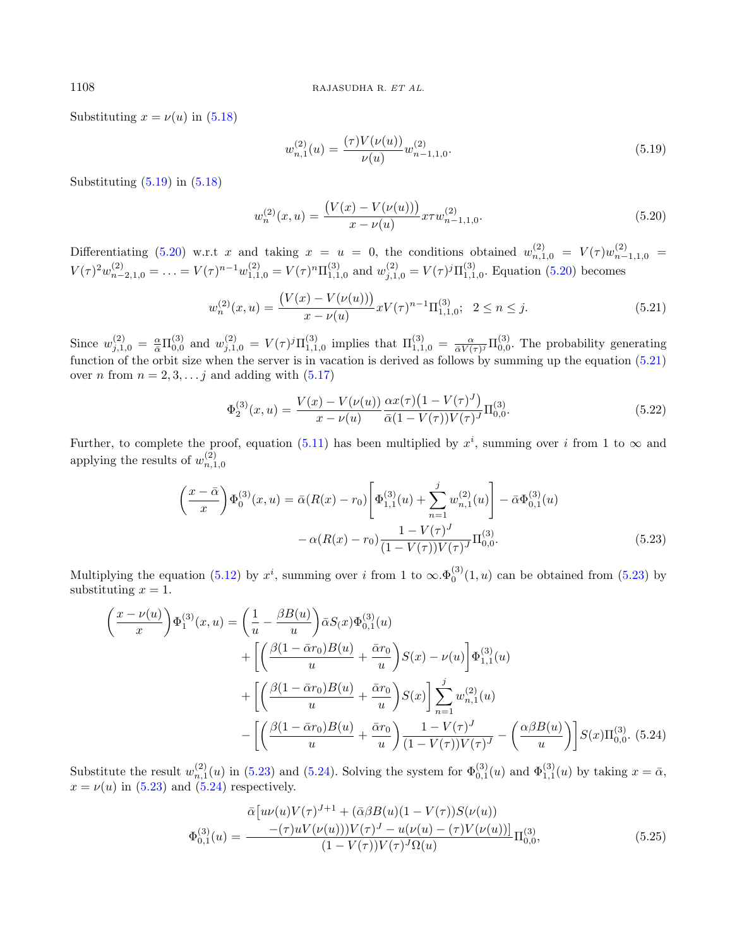Substituting  $x = \nu(u)$  in [\(5.18\)](#page-18-5)

<span id="page-19-0"></span>
$$
w_{n,1}^{(2)}(u) = \frac{(\tau)V(\nu(u))}{\nu(u)} w_{n-1,1,0}^{(2)}.
$$
\n(5.19)

Substituting  $(5.19)$  in  $(5.18)$ 

<span id="page-19-1"></span>
$$
w_n^{(2)}(x,u) = \frac{\left(V(x) - V(\nu(u))\right)}{x - \nu(u)} x \tau w_{n-1,1,0}^{(2)}.
$$
\n(5.20)

Differentiating [\(5.20\)](#page-19-1) w.r.t x and taking  $x = u = 0$ , the conditions obtained  $w_{n,1,0}^{(2)} = V(\tau)w_{n-1,1,0}^{(2)} =$  $V(\tau)^2 w_{n-2,1,0}^{(2)} = \ldots = V(\tau)^{n-1} w_{1,1,0}^{(2)} = V(\tau)^n \Pi_{1,1,0}^{(3)}$  and  $w_{j,1,0}^{(2)} = V(\tau)^j \Pi_{1,1,0}^{(3)}$ . Equation [\(5.20\)](#page-19-1) becomes

<span id="page-19-2"></span>
$$
w_n^{(2)}(x,u) = \frac{\left(V(x) - V(\nu(u))\right)}{x - \nu(u)} xV(\tau)^{n-1} \Pi_{1,1,0}^{(3)}; \ \ 2 \le n \le j. \tag{5.21}
$$

Since  $w_{j,1,0}^{(2)} = \frac{\alpha}{\bar{\alpha}} \Pi_{0,0}^{(3)}$  and  $w_{j,1,0}^{(2)} = V(\tau)^j \Pi_{1,1,0}^{(3)}$  implies that  $\Pi_{1,1,0}^{(3)} = \frac{\alpha}{\bar{\alpha}V(\tau)^j} \Pi_{0,0}^{(3)}$ . The probability generating function of the orbit size when the server is in vacation is derived as follows by summing up the equation [\(5.21\)](#page-19-2) over *n* from  $n = 2, 3, \ldots j$  and adding with  $(5.17)$ 

<span id="page-19-5"></span>
$$
\Phi_2^{(3)}(x,u) = \frac{V(x) - V(\nu(u))}{x - \nu(u)} \frac{\alpha x(\tau) (1 - V(\tau)^J)}{\bar{\alpha}(1 - V(\tau)) V(\tau)^J} \Pi_{0,0}^{(3)}.
$$
\n(5.22)

Further, to complete the proof, equation [\(5.11\)](#page-18-6) has been multiplied by  $x^i$ , summing over i from 1 to  $\infty$  and applying the results of  $w_{n,1,0}^{(2)}$ 

<span id="page-19-3"></span>
$$
\left(\frac{x-\bar{\alpha}}{x}\right)\Phi_0^{(3)}(x,u) = \bar{\alpha}(R(x)-r_0)\left[\Phi_{1,1}^{(3)}(u) + \sum_{n=1}^j w_{n,1}^{(2)}(u)\right] - \bar{\alpha}\Phi_{0,1}^{(3)}(u) -\alpha(R(x)-r_0)\frac{1-V(\tau)^J}{(1-V(\tau))V(\tau)^J}\Pi_{0,0}^{(3)}.
$$
\n(5.23)

Multiplying the equation [\(5.12\)](#page-18-7) by  $x^i$ , summing over i from 1 to  $\infty.\Phi_0^{(3)}(1,u)$  can be obtained from [\(5.23\)](#page-19-3) by substituting  $x = 1$ .

<span id="page-19-4"></span>
$$
\begin{split}\n\left(\frac{x-\nu(u)}{x}\right) \Phi_1^{(3)}(x, u) &= \left(\frac{1}{u} - \frac{\beta B(u)}{u}\right) \bar{\alpha} S(x) \Phi_{0,1}^{(3)}(u) \\
&\quad + \left[ \left(\frac{\beta(1-\bar{\alpha}r_0)B(u)}{u} + \frac{\bar{\alpha}r_0}{u}\right)S(x) - \nu(u) \right] \Phi_{1,1}^{(3)}(u) \\
&\quad + \left[ \left(\frac{\beta(1-\bar{\alpha}r_0)B(u)}{u} + \frac{\bar{\alpha}r_0}{u}\right)S(x) \right] \sum_{n=1}^j w_{n,1}^{(2)}(u) \\
&\quad - \left[ \left(\frac{\beta(1-\bar{\alpha}r_0)B(u)}{u} + \frac{\bar{\alpha}r_0}{u}\right) \frac{1 - V(\tau)^J}{(1 - V(\tau))V(\tau)^J} - \left(\frac{\alpha\beta B(u)}{u}\right) \right] S(x) \Pi_{0,0}^{(3)}.\n\end{split} \tag{5.24}
$$

Substitute the result  $w_{n,1}^{(2)}(u)$  in [\(5.23\)](#page-19-3) and [\(5.24\)](#page-19-4). Solving the system for  $\Phi_{0,1}^{(3)}(u)$  and  $\Phi_{1,1}^{(3)}(u)$  by taking  $x = \bar{\alpha}$ ,  $x = \nu(u)$  in [\(5.23\)](#page-19-3) and [\(5.24\)](#page-19-4) respectively.

$$
\bar{\alpha}[u\nu(u)V(\tau)^{J+1} + (\bar{\alpha}\beta B(u)(1 - V(\tau))S(\nu(u))\n\Phi_{0,1}^{(3)}(u) = \frac{-(\tau)uV(\nu(u))V(\tau)^{J} - u(\nu(u) - (\tau)V(\nu(u)))}{(1 - V(\tau))V(\tau)^{J}\Omega(u)}\Pi_{0,0}^{(3)},
$$
\n(5.25)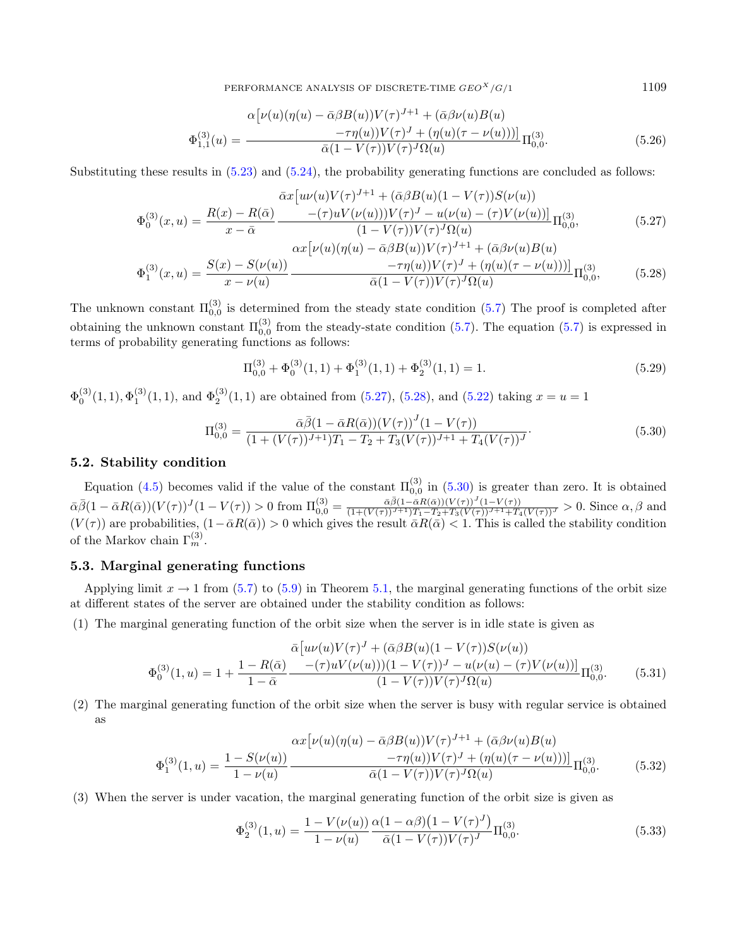PERFORMANCE ANALYSIS OF DISCRETE-TIME  $GEO<sup>X</sup>/G/1$  1109

$$
\Phi_{1,1}^{(3)}(u) = \frac{\alpha \left[ \nu(u)(\eta(u) - \bar{\alpha}\beta B(u))V(\tau)^{J+1} + (\bar{\alpha}\beta\nu(u)B(u)) \right.}{-\tau\eta(u))V(\tau)^{J} + (\eta(u)(\tau - \nu(u)))\right]} \Pi_{0,0}^{(3)}.
$$
\n(5.26)

Substituting these results in [\(5.23\)](#page-19-3) and [\(5.24\)](#page-19-4), the probability generating functions are concluded as follows:

<span id="page-20-0"></span>
$$
\Phi_0^{(3)}(x,u) = \frac{R(x) - R(\bar{\alpha})}{x - \bar{\alpha}} \frac{-(\tau)uV(\nu(u))V(\tau)^{J+1} + (\bar{\alpha}\beta B(u)(1 - V(\tau))S(\nu(u)))}{(1 - V(\tau))V(\tau)^{J} - u(\nu(u) - (\tau)V(\nu(u)))}\Pi_{0,0}^{(3)},
$$
\n
$$
\Phi_1^{(3)}(x,u) = \frac{S(x) - S(\nu(u))}{x - \nu(u)} \frac{\alpha x[\nu(u)(\eta(u) - \bar{\alpha}\beta B(u))V(\tau)^{J+1} + (\bar{\alpha}\beta\nu(u)B(u))}{-\tau\eta(u))V(\tau)^{J} + (\eta(u)(\tau - \nu(u)))}\Pi_{0,0}^{(3)},
$$
\n(5.28)

The unknown constant  $\Pi_{0,0}^{(3)}$  is determined from the steady state condition [\(5.7\)](#page-17-2) The proof is completed after obtaining the unknown constant  $\Pi_{0,0}^{(3)}$  from the steady-state condition [\(5.7\)](#page-17-2). The equation (5.7) is expressed in terms of probability generating functions as follows:

$$
\Pi_{0,0}^{(3)} + \Phi_0^{(3)}(1,1) + \Phi_1^{(3)}(1,1) + \Phi_2^{(3)}(1,1) = 1.
$$
\n(5.29)

 $\Phi_0^{(3)}(1,1), \Phi_1^{(3)}(1,1)$ , and  $\Phi_2^{(3)}(1,1)$  are obtained from [\(5.27\)](#page-20-0), [\(5.28\)](#page-20-0), and [\(5.22\)](#page-19-5) taking  $x = u = 1$ 

<span id="page-20-1"></span>
$$
\Pi_{0,0}^{(3)} = \frac{\bar{\alpha}\bar{\beta}(1-\bar{\alpha}R(\bar{\alpha}))(V(\tau))^J(1-V(\tau))}{(1+(V(\tau))^{J+1})T_1 - T_2 + T_3(V(\tau))^{J+1} + T_4(V(\tau))^J}.
$$
\n(5.30)

#### 5.2. Stability condition

Equation [\(4.5\)](#page-11-2) becomes valid if the value of the constant  $\Pi_{0,0}^{(3)}$  in [\(5.30\)](#page-20-1) is greater than zero. It is obtained  $\bar{\alpha}\bar{\beta}(1-\bar{\alpha}R(\bar{\alpha}))(V(\tau))^J(1-V(\tau))>0$  from  $\Pi_{0,0}^{(3)} = \frac{\bar{\alpha}\bar{\beta}(1-\bar{\alpha}R(\bar{\alpha}))(V(\tau))^J(1-V(\tau))}{(1+(V(\tau))^{J+1})T_1-T_2+T_3(V(\tau))^{J+1}+T_4(V(\tau))^J}>0$ . Since  $\alpha,\beta$  and  $(V(\tau))$  are probabilities,  $(1-\bar{\alpha}R(\bar{\alpha})) > 0$  which gives the result  $\bar{\alpha}R(\bar{\alpha}) < 1$ . This is called the stability condition of the Markov chain  $\Gamma_m^{(3)}$ .

# 5.3. Marginal generating functions

Applying limit  $x \to 1$  from [\(5.7\)](#page-17-2) to [\(5.9\)](#page-17-2) in Theorem [5.1,](#page-17-0) the marginal generating functions of the orbit size at different states of the server are obtained under the stability condition as follows:

(1) The marginal generating function of the orbit size when the server is in idle state is given as

$$
\Phi_0^{(3)}(1,u) = 1 + \frac{1 - R(\bar{\alpha})}{1 - \bar{\alpha}} \frac{\bar{\alpha}[u\nu(u)V(\tau)^J + (\bar{\alpha}\beta B(u)(1 - V(\tau))S(\nu(u)))}{(1 - V(\tau))V(\tau)^J - u(\nu(u) - (\tau)V(\nu(u)))} \Pi_{0,0}^{(3)}.
$$
(5.31)

(2) The marginal generating function of the orbit size when the server is busy with regular service is obtained as

$$
\Phi_1^{(3)}(1,u) = \frac{1 - S(\nu(u))}{1 - \nu(u)} \frac{\alpha x [\nu(u)(\eta(u) - \bar{\alpha}\beta B(u))V(\tau)^{J+1} + (\bar{\alpha}\beta\nu(u)B(u)) - \tau\eta(u))V(\tau)^{J} + (\eta(u)(\tau - \nu(u)))]}{\bar{\alpha}(1 - V(\tau))V(\tau)^{J}\Omega(u)} \Pi_{0,0}^{(3)}.
$$
(5.32)

(3) When the server is under vacation, the marginal generating function of the orbit size is given as

$$
\Phi_2^{(3)}(1,u) = \frac{1 - V(\nu(u))}{1 - \nu(u)} \frac{\alpha (1 - \alpha \beta) (1 - V(\tau)^J)}{\bar{\alpha} (1 - V(\tau)) V(\tau)^J} \Pi_{0,0}^{(3)}.
$$
\n(5.33)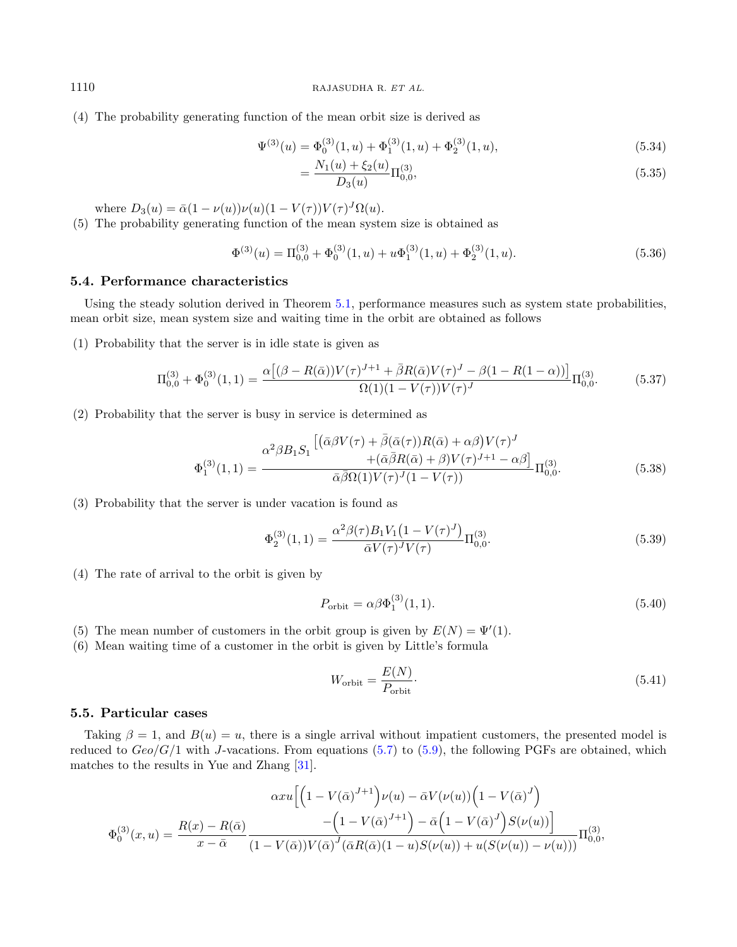(4) The probability generating function of the mean orbit size is derived as

$$
\Psi^{(3)}(u) = \Phi_0^{(3)}(1, u) + \Phi_1^{(3)}(1, u) + \Phi_2^{(3)}(1, u),
$$
\n(5.34)

<span id="page-21-0"></span>
$$
=\frac{N_1(u) + \xi_2(u)}{D_3(u)}\Pi_{0,0}^{(3)},\tag{5.35}
$$

where  $D_3(u) = \bar{\alpha}(1 - \nu(u))\nu(u)(1 - V(\tau))V(\tau)^J\Omega(u)$ .

(5) The probability generating function of the mean system size is obtained as

$$
\Phi^{(3)}(u) = \Pi_{0,0}^{(3)} + \Phi_0^{(3)}(1,u) + u\Phi_1^{(3)}(1,u) + \Phi_2^{(3)}(1,u). \tag{5.36}
$$

### 5.4. Performance characteristics

Using the steady solution derived in Theorem [5.1,](#page-17-0) performance measures such as system state probabilities, mean orbit size, mean system size and waiting time in the orbit are obtained as follows

(1) Probability that the server is in idle state is given as

<span id="page-21-3"></span>
$$
\Pi_{0,0}^{(3)} + \Phi_0^{(3)}(1,1) = \frac{\alpha \left[ (\beta - R(\bar{\alpha})) V(\tau)^{J+1} + \bar{\beta} R(\bar{\alpha}) V(\tau)^{J} - \beta (1 - R(1 - \alpha)) \right]}{\Omega(1)(1 - V(\tau)) V(\tau)^{J}} \Pi_{0,0}^{(3)}.
$$
(5.37)

(2) Probability that the server is busy in service is determined as

<span id="page-21-2"></span>
$$
\Phi_1^{(3)}(1,1) = \frac{\alpha^2 \beta B_1 S_1 \left[ \left( \bar{\alpha} \beta V(\tau) + \bar{\beta} (\bar{\alpha}(\tau)) R(\bar{\alpha}) + \alpha \beta \right) V(\tau)^J \right.}{\bar{\alpha} \bar{\beta} \Omega(1) V(\tau)^J (1 - V(\tau))} \Pi_{0,0}^{(3)}.
$$
\n(5.38)

(3) Probability that the server is under vacation is found as

<span id="page-21-1"></span>
$$
\Phi_2^{(3)}(1,1) = \frac{\alpha^2 \beta(\tau) B_1 V_1 (1 - V(\tau)^J)}{\bar{\alpha} V(\tau)^J V(\tau)} \Pi_{0,0}^{(3)}.
$$
\n(5.39)

(4) The rate of arrival to the orbit is given by

$$
P_{\text{orbit}} = \alpha \beta \Phi_1^{(3)}(1,1). \tag{5.40}
$$

- (5) The mean number of customers in the orbit group is given by  $E(N) = \Psi'(1)$ .
- (6) Mean waiting time of a customer in the orbit is given by Little's formula

$$
W_{\text{orbit}} = \frac{E(N)}{P_{\text{orbit}}}.\tag{5.41}
$$

## 5.5. Particular cases

Taking  $\beta = 1$ , and  $B(u) = u$ , there is a single arrival without impatient customers, the presented model is reduced to  $Geo/G/1$  with J-vacations. From equations [\(5.7\)](#page-17-2) to [\(5.9\)](#page-17-2), the following PGFs are obtained, which matches to the results in Yue and Zhang [\[31\]](#page-27-24).

$$
\alpha xu\Big[\Big(1-V(\bar{\alpha})^{J+1}\Big)\nu(u)-\bar{\alpha}V(\nu(u))\Big(1-V(\bar{\alpha})^{J}\Big)\\
\Phi_0^{(3)}(x,u)=\frac{R(x)-R(\bar{\alpha})}{x-\bar{\alpha}}\frac{-\Big(1-V(\bar{\alpha})^{J+1}\Big)-\bar{\alpha}\Big(1-V(\bar{\alpha})^{J}\Big)S(\nu(u))\Big]}{(1-V(\bar{\alpha}))V(\bar{\alpha})^{J}(\bar{\alpha}R(\bar{\alpha})(1-u)S(\nu(u))+u(S(\nu(u))-\nu(u)))}\Pi_{0,0}^{(3)},
$$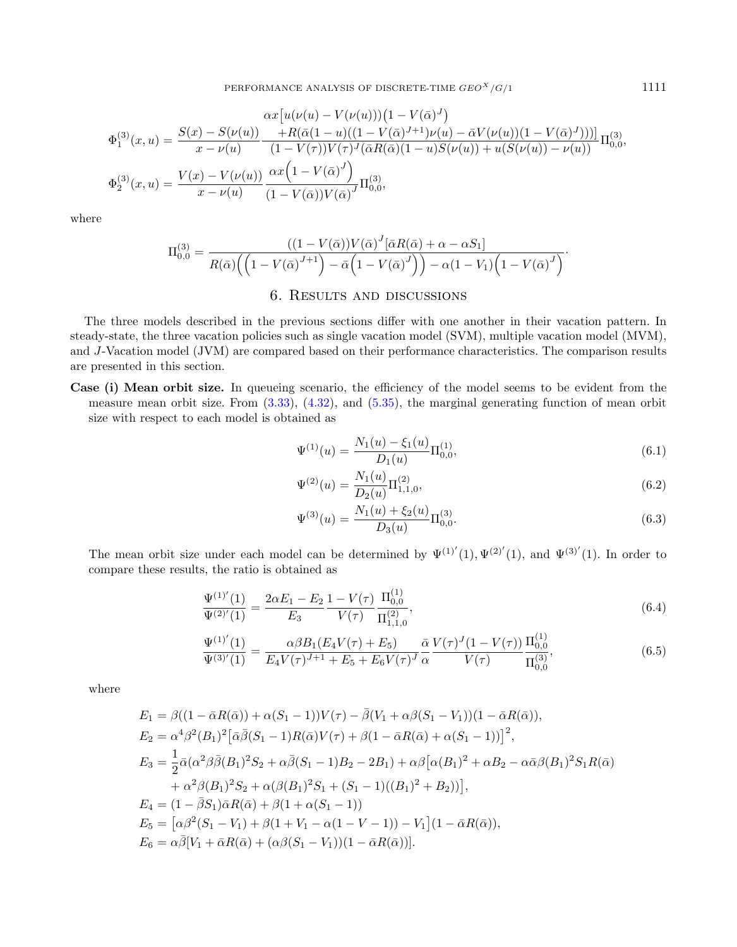$$
\Phi_1^{(3)}(x, u) = \frac{S(x) - S(\nu(u))}{x - \nu(u)} \frac{+R(\bar{\alpha}(1 - u)((1 - V(\bar{\alpha})^{J+1})\nu(u) - \bar{\alpha}V(\nu(u))(1 - V(\bar{\alpha})^{J})))]}{(1 - V(\tau))V(\tau)^{J}(\bar{\alpha}R(\bar{\alpha})(1 - u)S(\nu(u)) + u(S(\nu(u)) - \nu(u)))} \Pi_{0,0}^{(3)},
$$
  

$$
\Phi_2^{(3)}(x, u) = \frac{V(x) - V(\nu(u))}{x - \nu(u)} \frac{\alpha x (1 - V(\bar{\alpha})^{J})}{(1 - V(\bar{\alpha}))V(\bar{\alpha})^{J}} \Pi_{0,0}^{(3)},
$$

where

$$
\Pi_{0,0}^{(3)} = \frac{\left((1 - V(\bar{\alpha}))V(\bar{\alpha})^J[\bar{\alpha}R(\bar{\alpha}) + \alpha - \alpha S_1]\right)}{R(\bar{\alpha})\left(\left(1 - V(\bar{\alpha})^{J+1}\right) - \bar{\alpha}\left(1 - V(\bar{\alpha})^J\right)\right) - \alpha(1 - V_1)\left(1 - V(\bar{\alpha})^J\right)}.
$$

## 6. Results and discussions

<span id="page-22-0"></span>The three models described in the previous sections differ with one another in their vacation pattern. In steady-state, the three vacation policies such as single vacation model (SVM), multiple vacation model (MVM), and J-Vacation model (JVM) are compared based on their performance characteristics. The comparison results are presented in this section.

Case (i) Mean orbit size. In queueing scenario, the efficiency of the model seems to be evident from the measure mean orbit size. From [\(3.33\)](#page-8-0), [\(4.32\)](#page-15-0), and [\(5.35\)](#page-21-0), the marginal generating function of mean orbit size with respect to each model is obtained as

$$
\Psi^{(1)}(u) = \frac{N_1(u) - \xi_1(u)}{D_1(u)} \Pi_{0,0}^{(1)},\tag{6.1}
$$

$$
\Psi^{(2)}(u) = \frac{N_1(u)}{D_2(u)} \Pi_{1,1,0}^{(2)},\tag{6.2}
$$

$$
\Psi^{(3)}(u) = \frac{N_1(u) + \xi_2(u)}{D_3(u)} \Pi^{(3)}_{0,0}.
$$
\n(6.3)

The mean orbit size under each model can be determined by  $\Psi^{(1)'}(1), \Psi^{(2)'}(1),$  and  $\Psi^{(3)'}(1)$ . In order to compare these results, the ratio is obtained as

$$
\frac{\Psi^{(1)'}(1)}{\Psi^{(2)'}(1)} = \frac{2\alpha E_1 - E_2}{E_3} \frac{1 - V(\tau)}{V(\tau)} \frac{\Pi_{0,0}^{(1)}}{\Pi_{1,1,0}^{(2)}},\tag{6.4}
$$

<span id="page-22-1"></span>
$$
\frac{\Psi^{(1)'}(1)}{\Psi^{(3)'}(1)} = \frac{\alpha\beta B_1(E_4V(\tau) + E_5)}{E_4V(\tau)^{J+1} + E_5 + E_6V(\tau)^J} \frac{\bar{\alpha}}{\alpha} \frac{V(\tau)^J(1 - V(\tau))}{V(\tau)} \frac{\Pi_{0,0}^{(1)}}{\Pi_{0,0}^{(3)}},\tag{6.5}
$$

where

$$
E_1 = \beta((1 - \bar{\alpha}R(\bar{\alpha})) + \alpha(S_1 - 1))V(\tau) - \bar{\beta}(V_1 + \alpha\beta(S_1 - V_1))(1 - \bar{\alpha}R(\bar{\alpha})),
$$
  
\n
$$
E_2 = \alpha^4\beta^2(B_1)^2[\bar{\alpha}\bar{\beta}(S_1 - 1)R(\bar{\alpha})V(\tau) + \beta(1 - \bar{\alpha}R(\bar{\alpha}) + \alpha(S_1 - 1))]^2,
$$
  
\n
$$
E_3 = \frac{1}{2}\bar{\alpha}(\alpha^2\beta\bar{\beta}(B_1)^2S_2 + \alpha\bar{\beta}(S_1 - 1)B_2 - 2B_1) + \alpha\beta[\alpha(B_1)^2 + \alpha B_2 - \alpha\bar{\alpha}\beta(B_1)^2S_1R(\bar{\alpha})
$$
  
\n
$$
+ \alpha^2\beta(B_1)^2S_2 + \alpha(\beta(B_1)^2S_1 + (S_1 - 1)((B_1)^2 + B_2))],
$$
  
\n
$$
E_4 = (1 - \bar{\beta}S_1)\bar{\alpha}R(\bar{\alpha}) + \beta(1 + \alpha(S_1 - 1))
$$
  
\n
$$
E_5 = [\alpha\beta^2(S_1 - V_1) + \beta(1 + V_1 - \alpha(1 - V - 1)) - V_1](1 - \bar{\alpha}R(\bar{\alpha})),
$$
  
\n
$$
E_6 = \alpha\bar{\beta}[V_1 + \bar{\alpha}R(\bar{\alpha}) + (\alpha\beta(S_1 - V_1))(1 - \bar{\alpha}R(\bar{\alpha}))].
$$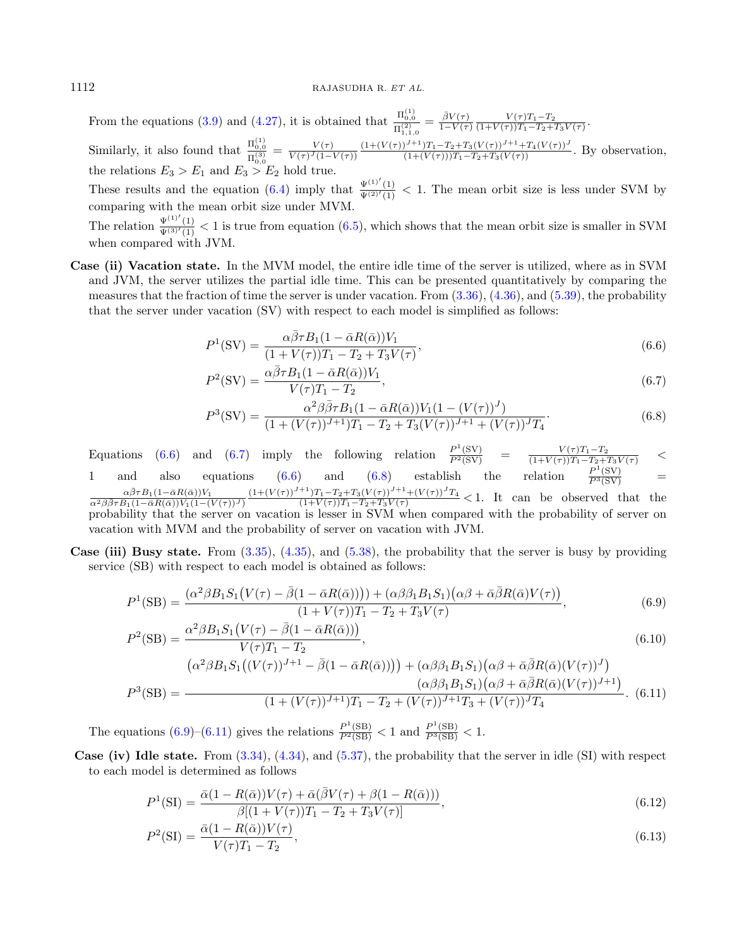From the equations [\(3.9\)](#page-6-6) and [\(4.27\)](#page-14-1), it is obtained that  $\frac{\Pi_{0,0}^{(1)}}{\Pi_{1,1,0}^{(2)}} = \frac{\bar{\beta}V(\tau)}{1-V(\tau)}$  $\frac{\beta V(\tau)}{1-V(\tau)} \frac{V(\tau)T_1 - T_2}{(1+V(\tau))T_1 - T_2 + T_1}$  $\frac{V(\tau)I_1 - I_2}{(1+V(\tau))T_1 - T_2 + T_3V(\tau)}.$ Similarly, it also found that  $\frac{\Pi_{0,0}^{(1)}}{\Pi_{0,0}^{(3)}} = \frac{V(\tau)}{V(\tau)^{J}(1-\tau)}$  $\frac{V(\tau)}{V(\tau)^{J}(1-V(\tau))} \frac{(1+(V(\tau))^{J+1})T_1-T_2+T_3(V(\tau))^{J+1}+T_4(V(\tau))^{J}}{(1+(V(\tau)))T_1-T_2+T_3(V(\tau))}$ . By observation, the relations  $E_3 > E_1$  and  $E_3 > E_2$  hold true.

These results and the equation [\(6.4\)](#page-22-1) imply that  $\frac{\Psi^{(1)'}(1)}{\Psi^{(2)'}(1)} < 1$ . The mean orbit size is less under SVM by comparing with the mean orbit size under MVM.

The relation  $\frac{\Psi^{(1)'}(1)}{\Psi^{(3)'}(1)} < 1$  is true from equation [\(6.5\)](#page-22-1), which shows that the mean orbit size is smaller in SVM when compared with JVM.

Case (ii) Vacation state. In the MVM model, the entire idle time of the server is utilized, where as in SVM and JVM, the server utilizes the partial idle time. This can be presented quantitatively by comparing the measures that the fraction of time the server is under vacation. From [\(3.36\)](#page-9-0), [\(4.36\)](#page-15-1), and [\(5.39\)](#page-21-1), the probability that the server under vacation (SV) with respect to each model is simplified as follows:

$$
P^{1}(\text{SV}) = \frac{\alpha \bar{\beta} \tau B_{1}(1 - \bar{\alpha}R(\bar{\alpha}))V_{1}}{(1 + V(\tau))T_{1} - T_{2} + T_{3}V(\tau)},
$$
\n(6.6)

<span id="page-23-0"></span>
$$
P2(SV) = \frac{\alpha\overline{\beta}\tau B_1(1 - \overline{\alpha}R(\overline{\alpha}))V_1}{V(\tau)T_1 - T_2},
$$
\n(6.7)

$$
P^{3}(\text{SV}) = \frac{\alpha^{2}\beta\bar{\beta}\tau B_{1}(1-\bar{\alpha}R(\bar{\alpha}))V_{1}(1-(V(\tau))^{J})}{(1+(V(\tau))^{J+1})T_{1}-T_{2}+T_{3}(V(\tau))^{J+1}+(V(\tau))^{J}T_{4}}.
$$
\n(6.8)

Equations [\(6.6\)](#page-23-0) and [\(6.7\)](#page-23-0) imply the following relation  $\frac{P^1(SV)}{P^2(SV)} = \frac{V(\tau)T_1 - T_2}{(1 + V(\tau))T_1 - T_2 + T_3 V(\tau)}$ 1 and also equations [\(6.6\)](#page-23-0) and [\(6.8\)](#page-23-0) establish the relation  $\frac{P^1(SV)}{P^3(SV)}$  =  $\alpha\bar{\beta}\tau B_1(1-\bar{\alpha}R(\bar{\alpha}))V_1$  $\overline{\alpha^2\beta\overline{\beta}\tau B_1(1-\bar{\alpha}R(\bar{\alpha}))V_1(1-(V(\tau))^J)}$  $\frac{(1+(V(\tau))^{J+1})T_1-T_2+T_3(V(\tau))^{J+1}+(V(\tau))^{J}T_4}{(1+V(\tau))T_1-T_2+T_3V(\tau)} < 1$ . It can be observed that the probability that the server on vacation is lesser in SVM when compared with the probability of server on vacation with MVM and the probability of server on vacation with JVM.

Case (iii) Busy state. From [\(3.35\)](#page-9-1), [\(4.35\)](#page-15-2), and [\(5.38\)](#page-21-2), the probability that the server is busy by providing service (SB) with respect to each model is obtained as follows:

$$
P^{1}(\text{SB}) = \frac{(\alpha^{2}\beta B_{1}S_{1}(V(\tau) - \bar{\beta}(1 - \bar{\alpha}R(\bar{\alpha})))) + (\alpha\beta\beta_{1}B_{1}S_{1})(\alpha\beta + \bar{\alpha}\bar{\beta}R(\bar{\alpha})V(\tau))}{(1 + V(\tau))T_{1} - T_{2} + T_{3}V(\tau)},
$$
\n(6.9)

<span id="page-23-1"></span>
$$
P^2(\text{SB}) = \frac{\alpha^2 \beta B_1 S_1 \left( V(\tau) - \bar{\beta} (1 - \bar{\alpha} R(\bar{\alpha})) \right)}{V(\tau) T_1 - T_2},\tag{6.10}
$$

$$
P^{3}(\text{SB}) = \frac{(\alpha^{2}\beta B_{1}S_{1}((V(\tau))^{J+1} - \bar{\beta}(1 - \bar{\alpha}R(\bar{\alpha})))) + (\alpha\beta\beta_{1}B_{1}S_{1})(\alpha\beta + \bar{\alpha}\bar{\beta}R(\bar{\alpha})(V(\tau))^{J})}{(\alpha\beta\beta_{1}B_{1}S_{1})(\alpha\beta + \bar{\alpha}\bar{\beta}R(\bar{\alpha})(V(\tau))^{J+1})}
$$
\n
$$
P^{3}(\text{SB}) = \frac{(\alpha\beta\beta_{1}B_{1}S_{1})(\alpha\beta + \bar{\alpha}\bar{\beta}R(\bar{\alpha})(V(\tau))^{J+1})}{(1 + (V(\tau))^{J+1})T_{1} - T_{2} + (V(\tau))^{J+1}T_{3} + (V(\tau))^{J}T_{4}}.
$$
\n(6.11)

The equations  $(6.9)$ – $(6.11)$  gives the relations  $\frac{P^1(SB)}{P^2(SB)} < 1$  and  $\frac{P^1(SB)}{P^3(SB)} < 1$ .

Case (iv) Idle state. From  $(3.34)$ ,  $(4.34)$ , and  $(5.37)$ , the probability that the server in idle (SI) with respect to each model is determined as follows

$$
P^{1}(\text{SI}) = \frac{\bar{\alpha}(1 - R(\bar{\alpha}))V(\tau) + \bar{\alpha}(\bar{\beta}V(\tau) + \beta(1 - R(\bar{\alpha})))}{\beta[(1 + V(\tau))T_1 - T_2 + T_3V(\tau)]},
$$
\n(6.12)

<span id="page-23-2"></span>
$$
P^2(SI) = \frac{\bar{\alpha}(1 - R(\bar{\alpha}))V(\tau)}{V(\tau)T_1 - T_2},\tag{6.13}
$$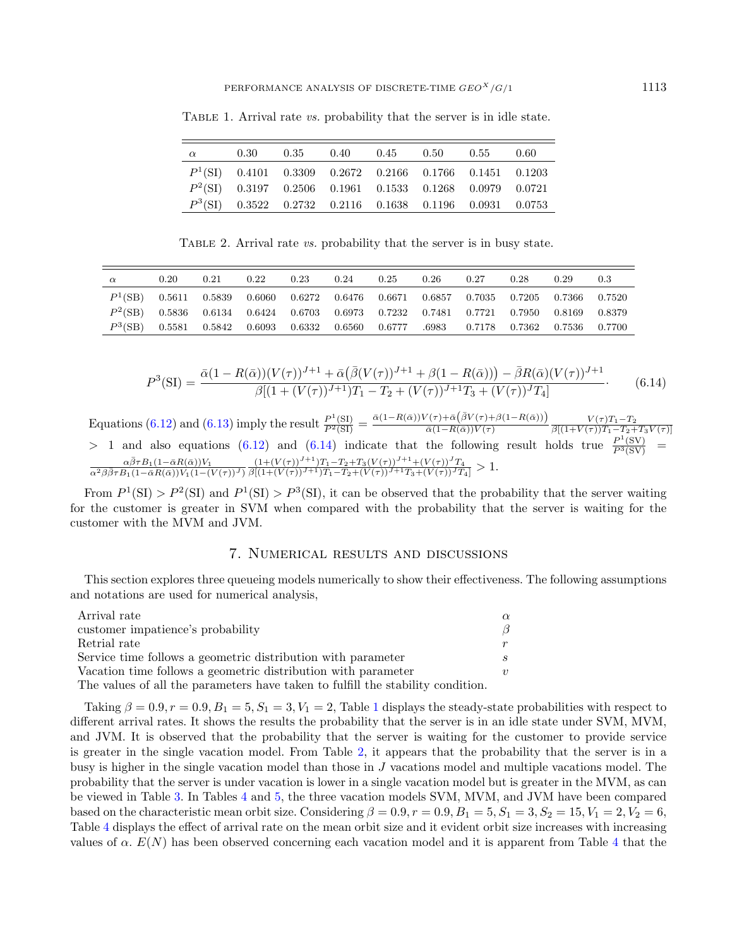| $\alpha$ | 0.30 |  | $0.35$ $0.40$ $0.45$ $0.50$ $0.55$                         |  | 0.60 |
|----------|------|--|------------------------------------------------------------|--|------|
|          |      |  | $P1(SI)$ 0.4101 0.3309 0.2672 0.2166 0.1766 0.1451 0.1203  |  |      |
|          |      |  | $P^2(SI)$ 0.3197 0.2506 0.1961 0.1533 0.1268 0.0979 0.0721 |  |      |
|          |      |  | $P3(SI)$ 0.3522 0.2732 0.2116 0.1638 0.1196 0.0931 0.0753  |  |      |

<span id="page-24-1"></span>TABLE 1. Arrival rate *vs.* probability that the server is in idle state.

TABLE 2. Arrival rate *vs.* probability that the server is in busy state.

<span id="page-24-2"></span>

| $\alpha$ | 0.20 | 0.21                                                                                                                                                           | 0.22 | 0.23 | 0.24 | 0.25 | 0.26 | 0.27 | 0.28 | 0.29 | 0.3 |
|----------|------|----------------------------------------------------------------------------------------------------------------------------------------------------------------|------|------|------|------|------|------|------|------|-----|
|          |      | $P^1(\text{SB})$ 0.5611 0.5839 0.6060 0.6272 0.6476 0.6671 0.6857 0.7035 0.7205 0.7366 0.7520                                                                  |      |      |      |      |      |      |      |      |     |
|          |      | $P^2(SB)$ 0.5836 0.6134 0.6424 0.6703 0.6973 0.7232 0.7481 0.7721 0.7950 0.8169 0.8379                                                                         |      |      |      |      |      |      |      |      |     |
|          |      | $P^3(\text{SB}) \quad 0.5581 \quad 0.5842 \quad 0.6093 \quad 0.6332 \quad 0.6560 \quad 0.6777 \quad .6983 \quad 0.7178 \quad 0.7362 \quad 0.7536 \quad 0.7700$ |      |      |      |      |      |      |      |      |     |

$$
P^3(SI) = \frac{\bar{\alpha}(1 - R(\bar{\alpha}))(V(\tau))^{J+1} + \bar{\alpha}(\bar{\beta}(V(\tau))^{J+1} + \beta(1 - R(\bar{\alpha}))) - \bar{\beta}R(\bar{\alpha})(V(\tau))^{J+1}}{\beta[(1 + (V(\tau))^{J+1})T_1 - T_2 + (V(\tau))^{J+1}T_3 + (V(\tau))^{J}T_4]}.
$$
(6.14)

Equations [\(6.12\)](#page-23-2) and [\(6.13\)](#page-23-2) imply the result  $\frac{P^1(SI)}{P^2(SI)} = \frac{\bar{\alpha}(1 - R(\bar{\alpha}))V(\tau) + \bar{\alpha}(\bar{\beta}V(\tau) + \beta(1 - R(\bar{\alpha})))}{\bar{\alpha}(1 - R(\bar{\alpha}))V(\tau)}$  $\frac{V(\tau)+\alpha(\beta V(\tau)+\beta(1-R(\alpha)))}{\bar{\alpha}(1-R(\bar{\alpha}))V(\tau)} \frac{V(\tau)T_1-T_2}{\beta[(1+V(\tau))T_1-T_2+1]}$  $\beta[(1+V(\tau))T_1-T_2+T_3V(\tau)]$  $>$  1 and also equations [\(6.12\)](#page-23-2) and [\(6.14\)](#page-23-2) indicate that the following result holds true  $\frac{P^1(SV)}{P^3(SV)}$  =  $\alpha\bar{\beta}\tau B_1(1-\bar{\alpha}R(\bar{\alpha}))V_1$  $\overline{\alpha^2\beta\overline{\beta}\tau B_1(1-\bar{\alpha}R(\bar{\alpha}))V_1(1-(V(\tau))^J)}$  $\frac{(1+(V(\tau))^{J+1})T_1-T_2+T_3(V(\tau))^{J+1}+(V(\tau))^{J}T_4}{\beta[(1+(V(\tau))^{J+1})T_1-T_2+(V(\tau))^{J+1}T_3+(V(\tau))^{J}T_4]} > 1.$ 

From  $P^1(SI) > P^2(SI)$  and  $P^1(SI) > P^3(SI)$ , it can be observed that the probability that the server waiting for the customer is greater in SVM when compared with the probability that the server is waiting for the customer with the MVM and JVM.

# 7. Numerical results and discussions

<span id="page-24-0"></span>This section explores three queueing models numerically to show their effectiveness. The following assumptions and notations are used for numerical analysis,

| Arrival rate                                                                    | $\alpha$ |
|---------------------------------------------------------------------------------|----------|
| customer impatience's probability                                               | ß.       |
| Retrial rate                                                                    | $r_{-}$  |
| Service time follows a geometric distribution with parameter                    |          |
| Vacation time follows a geometric distribution with parameter                   | $\eta$   |
| The values of all the parameters have taken to fulfill the stability condition. |          |

Taking  $\beta = 0.9, r = 0.9, B_1 = 5, S_1 = 3, V_1 = 2$  $\beta = 0.9, r = 0.9, B_1 = 5, S_1 = 3, V_1 = 2$  $\beta = 0.9, r = 0.9, B_1 = 5, S_1 = 3, V_1 = 2$ , Table 1 displays the steady-state probabilities with respect to different arrival rates. It shows the results the probability that the server is in an idle state under SVM, MVM, and JVM. It is observed that the probability that the server is waiting for the customer to provide service is greater in the single vacation model. From Table [2,](#page-24-2) it appears that the probability that the server is in a busy is higher in the single vacation model than those in  $J$  vacations model and multiple vacations model. The probability that the server is under vacation is lower in a single vacation model but is greater in the MVM, as can be viewed in Table [3.](#page-25-0) In Tables [4](#page-25-1) and [5,](#page-25-2) the three vacation models SVM, MVM, and JVM have been compared based on the characteristic mean orbit size. Considering  $\beta = 0.9, r = 0.9, B_1 = 5, S_1 = 3, S_2 = 15, V_1 = 2, V_2 = 6,$ Table [4](#page-25-1) displays the effect of arrival rate on the mean orbit size and it evident orbit size increases with increasing values of  $\alpha$ .  $E(N)$  has been observed concerning each vacation model and it is apparent from Table [4](#page-25-1) that the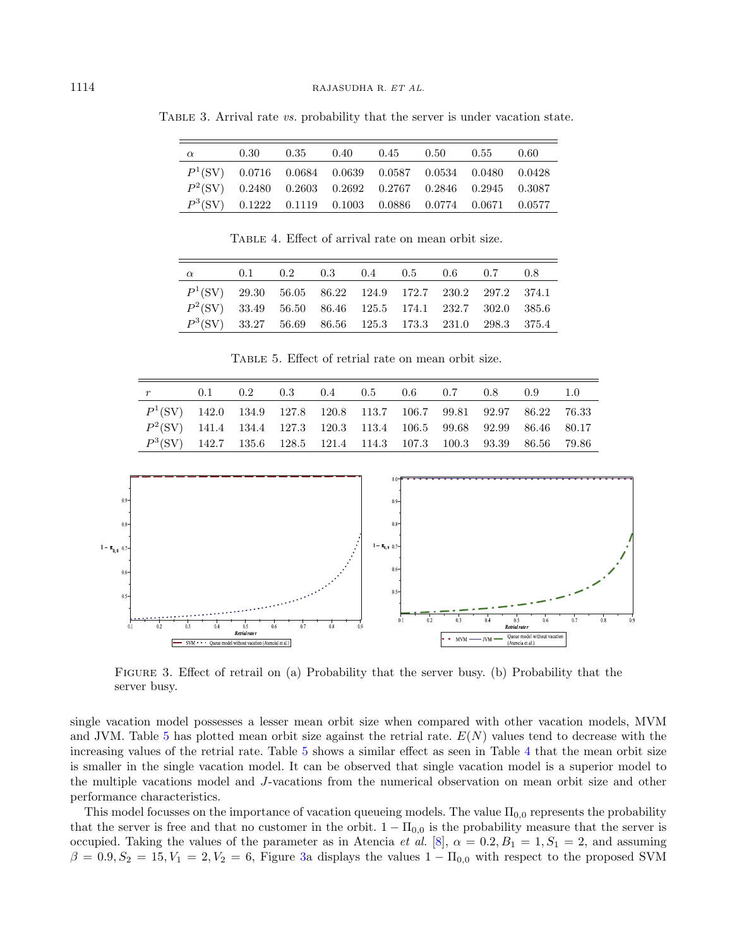| $\alpha$                                                  | 0.30 |  | $0.35$ $0.40$ $0.45$ $0.50$ $0.55$ $0.60$ |  |  |
|-----------------------------------------------------------|------|--|-------------------------------------------|--|--|
| $P1(SV)$ 0.0716 0.0684 0.0639 0.0587 0.0534 0.0480 0.0428 |      |  |                                           |  |  |
| $P2(SV)$ 0.2480 0.2603 0.2692 0.2767 0.2846 0.2945 0.3087 |      |  |                                           |  |  |
| $P3(SV)$ 0.1222 0.1119 0.1003 0.0886 0.0774 0.0671 0.0577 |      |  |                                           |  |  |

<span id="page-25-0"></span>Table 3. Arrival rate vs. probability that the server is under vacation state.

Table 4. Effect of arrival rate on mean orbit size.

<span id="page-25-1"></span>

| $\alpha$                                                 |  | $0.1$ $0.2$ $0.3$ $0.4$ $0.5$ $0.6$ $0.7$ $0.8$ |  |  |  |
|----------------------------------------------------------|--|-------------------------------------------------|--|--|--|
| $P1(SV)$ 29.30 56.05 86.22 124.9 172.7 230.2 297.2 374.1 |  |                                                 |  |  |  |
| $P2(SV)$ 33.49 56.50 86.46 125.5 174.1 232.7 302.0 385.6 |  |                                                 |  |  |  |
| $P3(SV)$ 33.27 56.69 86.56 125.3 173.3 231.0 298.3 375.4 |  |                                                 |  |  |  |

Table 5. Effect of retrial rate on mean orbit size.

<span id="page-25-2"></span>

| $r$ and $r$                                                           |  |  | $0.1$ $0.2$ $0.3$ $0.4$ $0.5$ $0.6$ $0.7$ $0.8$ $0.9$ $1.0$ |  |  |  |
|-----------------------------------------------------------------------|--|--|-------------------------------------------------------------|--|--|--|
| $P^1(SV)$ 142.0 134.9 127.8 120.8 113.7 106.7 99.81 92.97 86.22 76.33 |  |  |                                                             |  |  |  |
| $P^2(SV)$ 141.4 134.4 127.3 120.3 113.4 106.5 99.68 92.99 86.46 80.17 |  |  |                                                             |  |  |  |
| $P^3(SV)$ 142.7 135.6 128.5 121.4 114.3 107.3 100.3 93.39 86.56 79.86 |  |  |                                                             |  |  |  |



<span id="page-25-3"></span>Figure 3. Effect of retrail on (a) Probability that the server busy. (b) Probability that the server busy.

single vacation model possesses a lesser mean orbit size when compared with other vacation models, MVM and JVM. Table [5](#page-25-2) has plotted mean orbit size against the retrial rate.  $E(N)$  values tend to decrease with the increasing values of the retrial rate. Table [5](#page-25-2) shows a similar effect as seen in Table [4](#page-25-1) that the mean orbit size is smaller in the single vacation model. It can be observed that single vacation model is a superior model to the multiple vacations model and J-vacations from the numerical observation on mean orbit size and other performance characteristics.

This model focusses on the importance of vacation queueing models. The value  $\Pi_{0,0}$  represents the probability that the server is free and that no customer in the orbit.  $1 - \Pi_{0,0}$  is the probability measure that the server is occupied. Taking the values of the parameter as in Atencia et al. [\[8\]](#page-27-6),  $\alpha = 0.2, B_1 = 1, S_1 = 2$ , and assuming  $\beta = 0.9, S_2 = 15, V_1 = 2, V_2 = 6$ , Figure [3a](#page-25-3) displays the values  $1 - \Pi_{0,0}$  with respect to the proposed SVM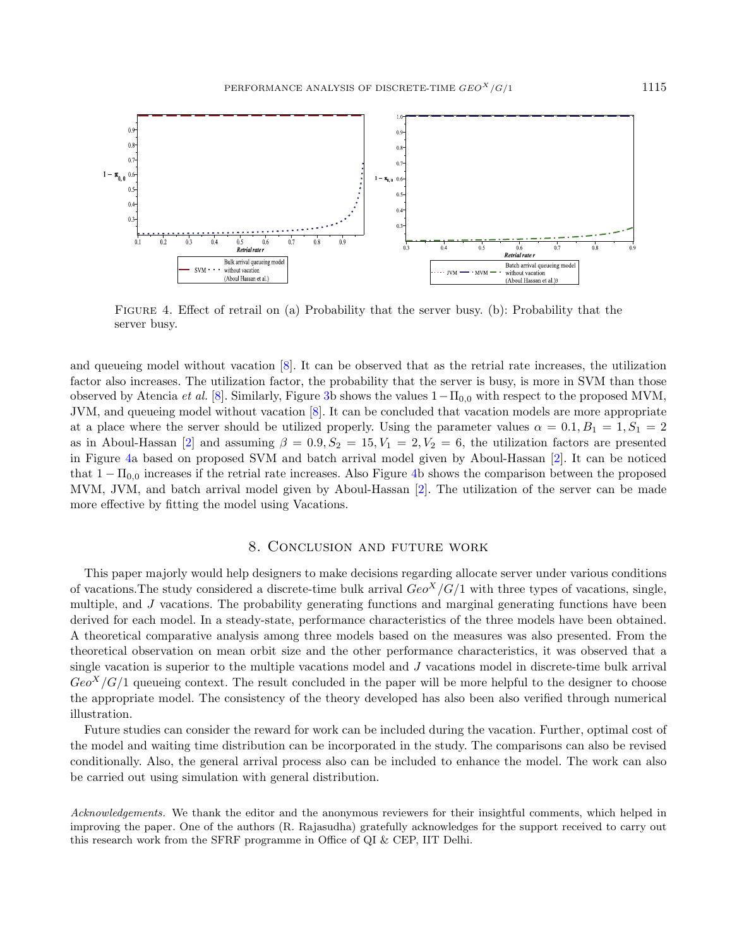

<span id="page-26-1"></span>Figure 4. Effect of retrail on (a) Probability that the server busy. (b): Probability that the server busy.

and queueing model without vacation [\[8\]](#page-27-6). It can be observed that as the retrial rate increases, the utilization factor also increases. The utilization factor, the probability that the server is busy, is more in SVM than those observed by Atencia *et al.* [\[8\]](#page-27-6). Similarly, Figure [3b](#page-25-3) shows the values  $1-\Pi_{0,0}$  with respect to the proposed MVM. JVM, and queueing model without vacation [\[8\]](#page-27-6). It can be concluded that vacation models are more appropriate at a place where the server should be utilized properly. Using the parameter values  $\alpha = 0.1, B_1 = 1, S_1 = 2$ as in Aboul-Hassan [\[2\]](#page-27-13) and assuming  $\beta = 0.9, S_2 = 15, V_1 = 2, V_2 = 6$ , the utilization factors are presented in Figure [4a](#page-26-1) based on proposed SVM and batch arrival model given by Aboul-Hassan [\[2\]](#page-27-13). It can be noticed that  $1 - \Pi_{0,0}$  increases if the retrial rate increases. Also Figure [4b](#page-26-1) shows the comparison between the proposed MVM, JVM, and batch arrival model given by Aboul-Hassan [\[2\]](#page-27-13). The utilization of the server can be made more effective by fitting the model using Vacations.

## 8. Conclusion and future work

<span id="page-26-0"></span>This paper majorly would help designers to make decisions regarding allocate server under various conditions of vacations. The study considered a discrete-time bulk arrival  $Geo<sup>X</sup>/G/1$  with three types of vacations, single, multiple, and  $J$  vacations. The probability generating functions and marginal generating functions have been derived for each model. In a steady-state, performance characteristics of the three models have been obtained. A theoretical comparative analysis among three models based on the measures was also presented. From the theoretical observation on mean orbit size and the other performance characteristics, it was observed that a single vacation is superior to the multiple vacations model and  $J$  vacations model in discrete-time bulk arrival  $Geo<sup>X</sup>/G/1$  queueing context. The result concluded in the paper will be more helpful to the designer to choose the appropriate model. The consistency of the theory developed has also been also verified through numerical illustration.

Future studies can consider the reward for work can be included during the vacation. Further, optimal cost of the model and waiting time distribution can be incorporated in the study. The comparisons can also be revised conditionally. Also, the general arrival process also can be included to enhance the model. The work can also be carried out using simulation with general distribution.

Acknowledgements. We thank the editor and the anonymous reviewers for their insightful comments, which helped in improving the paper. One of the authors (R. Rajasudha) gratefully acknowledges for the support received to carry out this research work from the SFRF programme in Office of QI & CEP, IIT Delhi.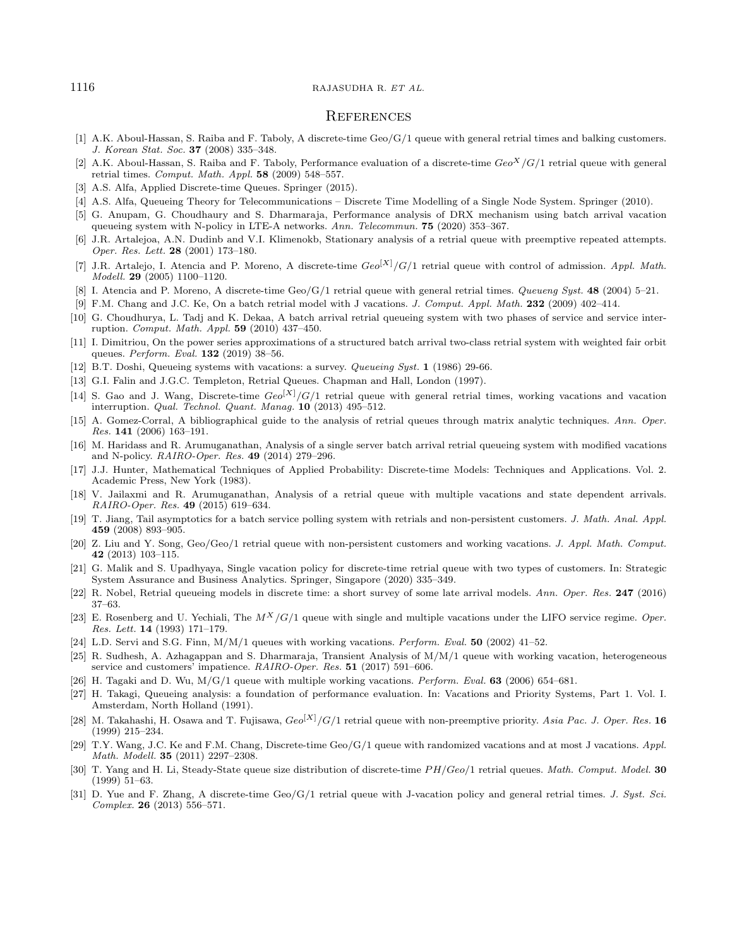#### <span id="page-27-13"></span><span id="page-27-12"></span><span id="page-27-11"></span><span id="page-27-5"></span><span id="page-27-2"></span><span id="page-27-1"></span><span id="page-27-0"></span> $1116$  RAJASUDHA R. ET AL.

#### **REFERENCES**

- <span id="page-27-23"></span><span id="page-27-14"></span><span id="page-27-6"></span>[1] A.K. Aboul-Hassan, S. Raiba and F. Taboly, A discrete-time Geo/G/1 queue with general retrial times and balking customers. J. Korean Stat. Soc. 37 (2008) 335–348.
- <span id="page-27-9"></span>[2] A.K. Aboul-Hassan, S. Raiba and F. Taboly, Performance evaluation of a discrete-time  $Geo<sup>X</sup>/G/1$  retrial queue with general retrial times. Comput. Math. Appl.  $58$  (2009) 548–557.
- <span id="page-27-18"></span>[3] A.S. Alfa, Applied Discrete-time Queues. Springer (2015).
- <span id="page-27-3"></span>[4] A.S. Alfa, Queueing Theory for Telecommunications – Discrete Time Modelling of a Single Node System. Springer (2010).
- <span id="page-27-27"></span>[5] G. Anupam, G. Choudhaury and S. Dharmaraja, Performance analysis of DRX mechanism using batch arrival vacation queueing system with N-policy in LTE-A networks. Ann. Telecommun. 75 (2020) 353–367.
- <span id="page-27-7"></span>[6] J.R. Artalejoa, A.N. Dudinb and V.I. Klimenokb, Stationary analysis of a retrial queue with preemptive repeated attempts. Oper. Res. Lett. 28 (2001) 173–180.
- <span id="page-27-28"></span>[7] J.R. Artalejo, I. Atencia and P. Moreno, A discrete-time  $Geo^{[X]}/G/1$  retrial queue with control of admission. Appl. Math. Modell. 29 (2005) 1100–1120.
- <span id="page-27-17"></span>[8] I. Atencia and P. Moreno, A discrete-time Geo/G/1 retrial queue with general retrial times. Queueng Syst. 48 (2004) 5–21.
- [9] F.M. Chang and J.C. Ke, On a batch retrial model with J vacations. J. Comput. Appl. Math. 232 (2009) 402-414.
- <span id="page-27-29"></span>[10] G. Choudhurya, L. Tadj and K. Dekaa, A batch arrival retrial queueing system with two phases of service and service interruption. Comput. Math. Appl. 59 (2010) 437–450.
- <span id="page-27-16"></span>[11] I. Dimitriou, On the power series approximations of a structured batch arrival two-class retrial system with weighted fair orbit queues. Perform. Eval. 132 (2019) 38–56.
- <span id="page-27-15"></span>[12] B.T. Doshi, Queueing systems with vacations: a survey. Queueing Syst. 1 (1986) 29-66.
- [13] G.I. Falin and J.G.C. Templeton, Retrial Queues. Chapman and Hall, London (1997).
- <span id="page-27-22"></span>[14] S. Gao and J. Wang, Discrete-time  $Ge^{[X]}/G/1$  retrial queue with general retrial times, working vacations and vacation interruption. Qual. Technol. Quant. Manag. 10 (2013) 495–512.
- <span id="page-27-8"></span>[15] A. Gomez-Corral, A bibliographical guide to the analysis of retrial queues through matrix analytic techniques. Ann. Oper. Res. 141 (2006) 163–191.
- <span id="page-27-26"></span>[16] M. Haridass and R. Arumuganathan, Analysis of a single server batch arrival retrial queueing system with modified vacations and N-policy. RAIRO-Oper. Res. 49 (2014) 279–296.
- <span id="page-27-30"></span><span id="page-27-20"></span>[17] J.J. Hunter, Mathematical Techniques of Applied Probability: Discrete-time Models: Techniques and Applications. Vol. 2. Academic Press, New York (1983).
- <span id="page-27-21"></span>[18] V. Jailaxmi and R. Arumuganathan, Analysis of a retrial queue with multiple vacations and state dependent arrivals. RAIRO-Oper. Res. 49 (2015) 619–634.
- <span id="page-27-19"></span>[19] T. Jiang, Tail asymptotics for a batch service polling system with retrials and non-persistent customers. J. Math. Anal. Appl. 459 (2008) 893–905.
- <span id="page-27-10"></span>[20] Z. Liu and Y. Song, Geo/Geo/1 retrial queue with non-persistent customers and working vacations. J. Appl. Math. Comput. 42 (2013) 103–115.
- <span id="page-27-25"></span>[21] G. Malik and S. Upadhyaya, Single vacation policy for discrete-time retrial queue with two types of customers. In: Strategic System Assurance and Business Analytics. Springer, Singapore (2020) 335–349.
- <span id="page-27-4"></span>[22] R. Nobel, Retrial queueing models in discrete time: a short survey of some late arrival models. Ann. Oper. Res. 247 (2016) 37–63.
- <span id="page-27-24"></span>[23] E. Rosenberg and U. Yechiali, The  $M^X/G/1$  queue with single and multiple vacations under the LIFO service regime. Oper. Res. Lett. 14 (1993) 171–179.
- [24] L.D. Servi and S.G. Finn,  $M/M/1$  queues with working vacations. *Perform. Eval.* **50** (2002) 41–52.
- [25] R. Sudhesh, A. Azhagappan and S. Dharmaraja, Transient Analysis of M/M/1 queue with working vacation, heterogeneous service and customers' impatience. RAIRO-Oper. Res. 51 (2017) 591-606.
- [26] H. Tagaki and D. Wu,  $M/G/1$  queue with multiple working vacations. Perform. Eval. **63** (2006) 654–681.
- [27] H. Takagi, Queueing analysis: a foundation of performance evaluation. In: Vacations and Priority Systems, Part 1. Vol. I. Amsterdam, North Holland (1991).
- [28] M. Takahashi, H. Osawa and T. Fujisawa,  $Geo<sup>[X]</sup>/G/1$  retrial queue with non-preemptive priority. Asia Pac. J. Oper. Res. 16 (1999) 215–234.
- [29] T.Y. Wang, J.C. Ke and F.M. Chang, Discrete-time Geo/G/1 queue with randomized vacations and at most J vacations. Appl. Math. Modell. 35 (2011) 2297–2308.
- [30] T. Yang and H. Li, Steady-State queue size distribution of discrete-time  $PH/Geo/1$  retrial queues. Math. Comput. Model. 30 (1999) 51–63.
- [31] D. Yue and F. Zhang, A discrete-time Geo/G/1 retrial queue with J-vacation policy and general retrial times. J. Syst. Sci. Complex. 26 (2013) 556–571.